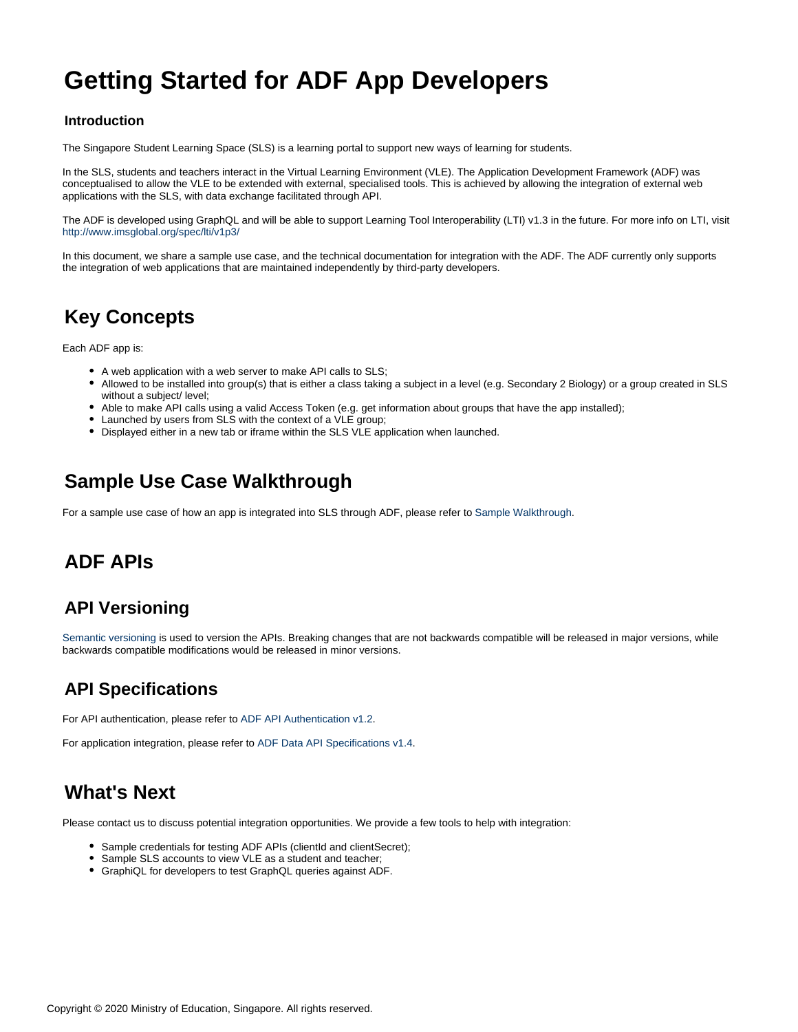# **Getting Started for ADF App Developers**

#### **Introduction**

The Singapore Student Learning Space (SLS) is a learning portal to support new ways of learning for students.

In the SLS, students and teachers interact in the Virtual Learning Environment (VLE). The Application Development Framework (ADF) was conceptualised to allow the VLE to be extended with external, specialised tools. This is achieved by allowing the integration of external web applications with the SLS, with data exchange facilitated through API.

The ADF is developed using GraphQL and will be able to support Learning Tool Interoperability (LTI) v1.3 in the future. For more info on LTI, visit <http://www.imsglobal.org/spec/lti/v1p3/>

In this document, we share a sample use case, and the technical documentation for integration with the ADF. The ADF currently only supports the integration of web applications that are maintained independently by third-party developers.

## **Key Concepts**

Each ADF app is:

- A web application with a web server to make API calls to SLS;
- Allowed to be installed into group(s) that is either a class taking a subject in a level (e.g. Secondary 2 Biology) or a group created in SLS without a subject/ level;
- Able to make API calls using a valid Access Token (e.g. get information about groups that have the app installed);
- Launched by users from SLS with the context of a VLE group;
- Displayed either in a new tab or iframe within the SLS VLE application when launched.

## **Sample Use Case Walkthrough**

For a sample use case of how an app is integrated into SLS through ADF, please refer to [Sample Walkthrough.](#page-1-0)

## **ADF APIs**

## **API Versioning**

[Semantic versioning](https://semver.org/) is used to version the APIs. Breaking changes that are not backwards compatible will be released in major versions, while backwards compatible modifications would be released in minor versions.

## **API Specifications**

For API authentication, please refer to [ADF API Authentication v1.2](#page-4-0).

For application integration, please refer to [ADF Data API Specifications v1.4.](#page-6-0)

## **What's Next**

Please contact us to discuss potential integration opportunities. We provide a few tools to help with integration:

- Sample credentials for testing ADF APIs (clientId and clientSecret);
- Sample SLS accounts to view VLE as a student and teacher;
- GraphiQL for developers to test GraphQL queries against ADF.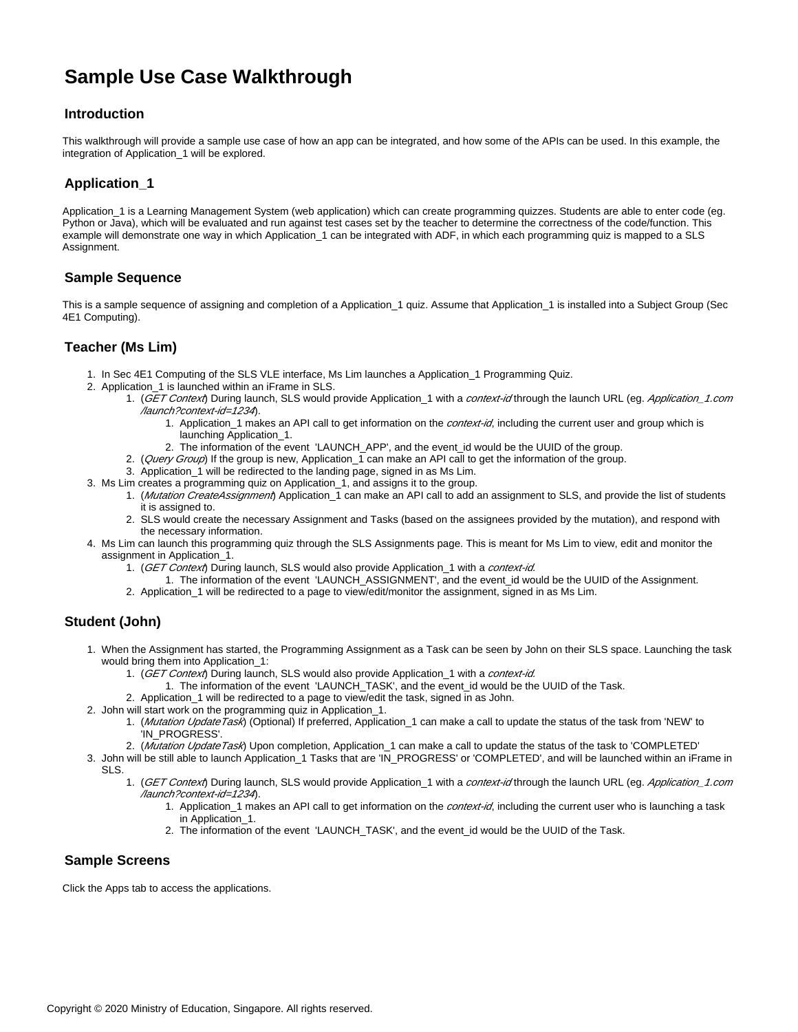## <span id="page-1-0"></span>**Sample Use Case Walkthrough**

#### **Introduction**

This walkthrough will provide a sample use case of how an app can be integrated, and how some of the APIs can be used. In this example, the integration of Application\_1 will be explored.

#### **Application\_1**

Application\_1 is a Learning Management System (web application) which can create programming quizzes. Students are able to enter code (eg. Python or Java), which will be evaluated and run against test cases set by the teacher to determine the correctness of the code/function. This example will demonstrate one way in which Application\_1 can be integrated with ADF, in which each programming quiz is mapped to a SLS Assignment.

#### **Sample Sequence**

This is a sample sequence of assigning and completion of a Application\_1 quiz. Assume that Application\_1 is installed into a Subject Group (Sec 4E1 Computing).

#### **Teacher (Ms Lim)**

- 1. In Sec 4E1 Computing of the SLS VLE interface, Ms Lim launches a Application\_1 Programming Quiz.
- 2. Application\_1 is launched within an iFrame in SLS.
	- 1. (GET Context) During launch, SLS would provide Application\_1 with a context-id through the launch URL (eg. Application\_1.com /launch?context-id=1234).
		- 1. Application\_1 makes an API call to get information on the *context-id*, including the current user and group which is launching Application\_1.
		- 2. The information of the event 'LAUNCH\_APP', and the event\_id would be the UUID of the group.
	- 2. (*Query Group*) If the group is new, Application\_1 can make an API call to get the information of the group.
	- 3. Application\_1 will be redirected to the landing page, signed in as Ms Lim.
- 3. Ms Lim creates a programming quiz on Application\_1, and assigns it to the group.
	- 1. (Mutation CreateAssignment) Application\_1 can make an API call to add an assignment to SLS, and provide the list of students it is assigned to.
	- 2. SLS would create the necessary Assignment and Tasks (based on the assignees provided by the mutation), and respond with the necessary information.
- 4. Ms Lim can launch this programming quiz through the SLS Assignments page. This is meant for Ms Lim to view, edit and monitor the assignment in Application\_1.
	- 1. (GET Context) During launch, SLS would also provide Application\_1 with a *context-id.*
	- 1. The information of the event 'LAUNCH\_ASSIGNMENT', and the event\_id would be the UUID of the Assignment.
	- 2. Application\_1 will be redirected to a page to view/edit/monitor the assignment, signed in as Ms Lim.

#### **Student (John)**

- 1. When the Assignment has started, the Programming Assignment as a Task can be seen by John on their SLS space. Launching the task would bring them into Application\_1:
	- 1. (GET Context) During launch, SLS would also provide Application\_1 with a context-id.
	- 1. The information of the event 'LAUNCH\_TASK', and the event\_id would be the UUID of the Task.
	- 2. Application\_1 will be redirected to a page to view/edit the task, signed in as John.
- 2. John will start work on the programming quiz in Application\_1.
	- 1. (*Mutation UpdateTask*) (Optional) If preferred, Application\_1 can make a call to update the status of the task from 'NEW' to 'IN\_PROGRESS'.
	- 2. (*Mutation UpdateTask*) Upon completion, Application\_1 can make a call to update the status of the task to 'COMPLETED'
- 3. John will be still able to launch Application\_1 Tasks that are 'IN\_PROGRESS' or 'COMPLETED', and will be launched within an iFrame in SLS.
	- 1. (GET Context) During launch, SLS would provide Application\_1 with a context-id through the launch URL (eg. Application\_1.com /launch?context-id=1234).
		- 1. Application\_1 makes an API call to get information on the *context-id*, including the current user who is launching a task in Application 1.
		- 2. The information of the event 'LAUNCH\_TASK', and the event\_id would be the UUID of the Task.

#### **Sample Screens**

Click the Apps tab to access the applications.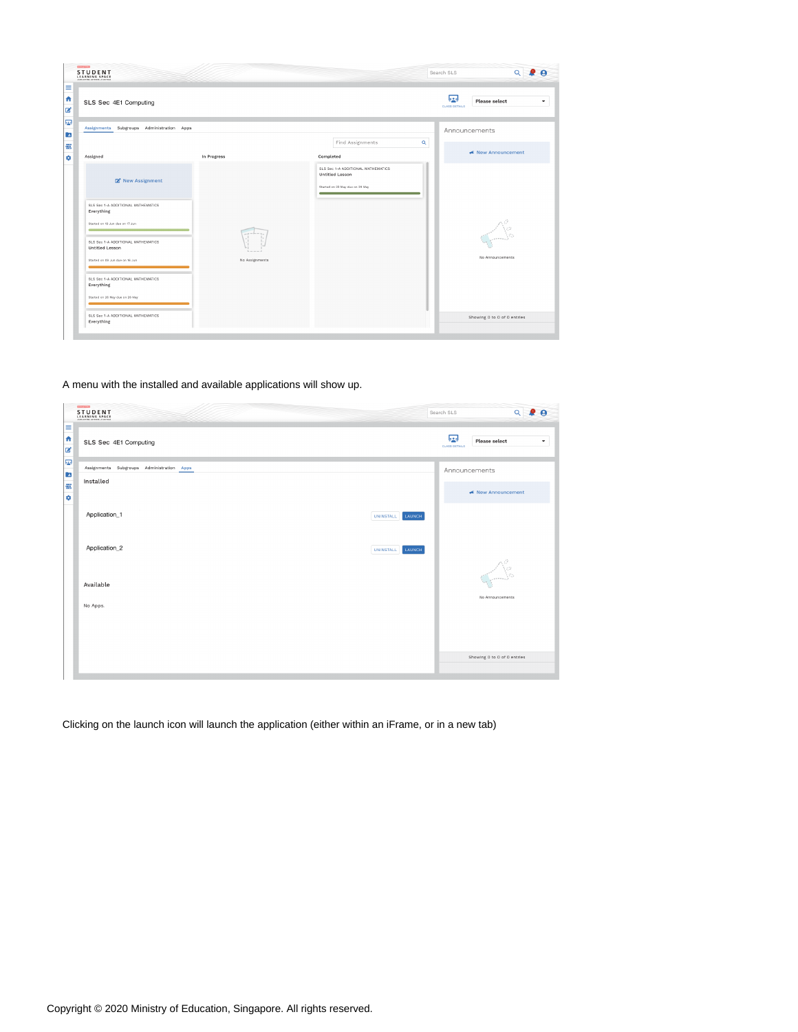| <b>STUDENT</b>                                                                                                            |                |                                                                                                                                      | $\alpha$<br>Search SLS                      |
|---------------------------------------------------------------------------------------------------------------------------|----------------|--------------------------------------------------------------------------------------------------------------------------------------|---------------------------------------------|
| SLS Sec 4E1 Computing                                                                                                     |                |                                                                                                                                      | 53<br>Please select<br><b>CLASS DETAILS</b> |
| Assignments Subgroups Administration Apps                                                                                 |                |                                                                                                                                      | Announcements                               |
| Assigned                                                                                                                  | In Progress    | Find Assignments<br>Completed                                                                                                        | $\alpha$<br>← New Announcement              |
| R New Assignment                                                                                                          |                | SLS Sec 1-A ADDITIONAL MATHEMATICS<br><b>Untitled Lesson</b><br>Started on 22 May due on 29 May<br><b>Contract Contract Contract</b> |                                             |
| SLS Sec 1-A ADDITIONAL MATHEMATICS<br>Everything<br>Started on 10 Jun due on 17 Jun<br>SLS Sec 1-A ADDITIONAL MATHEMATICS |                |                                                                                                                                      |                                             |
| Untitled Lesson<br>Started on 09 Jun due on 16 Jun                                                                        | No Assignments |                                                                                                                                      | No Announcements                            |
| SLS Sec 1-A ADDITIONAL MATHEMATICS<br>Everything<br>Started on 26 May due on 26 May                                       |                |                                                                                                                                      |                                             |
| SLS Sec 1-A ADDITIONAL MATHEMATICS<br>Everything                                                                          |                |                                                                                                                                      | Showing 0 to 0 of 0 entries                 |

#### A menu with the installed and available applications will show up.

|     | ESTERATOR<br><b>STUDENT</b>                 | Search SLS                | $Q$ $Q$ $Q$                  |
|-----|---------------------------------------------|---------------------------|------------------------------|
| 国中国 | SLS Sec 4E1 Computing                       | 嘎<br><b>CLASS DETAILS</b> | <b>Please select</b><br>۰    |
| P.  | Assignments Subgroups Administration Apps   |                           | Announcements                |
| 自己の | Installed                                   |                           | ← New Announcement           |
|     | Application_1<br>LAUNCH<br><b>UNINSTALL</b> |                           |                              |
|     | Application_2<br>LAUNCH<br><b>UNINSTALL</b> |                           |                              |
|     | Available                                   |                           | $\mathcal{L}_{\mathbb{R}^n}$ |
|     | No Apps.                                    |                           | No Announcements             |
|     |                                             |                           |                              |
|     |                                             |                           | Showing 0 to 0 of 0 entries  |
|     |                                             |                           |                              |

Clicking on the launch icon will launch the application (either within an iFrame, or in a new tab)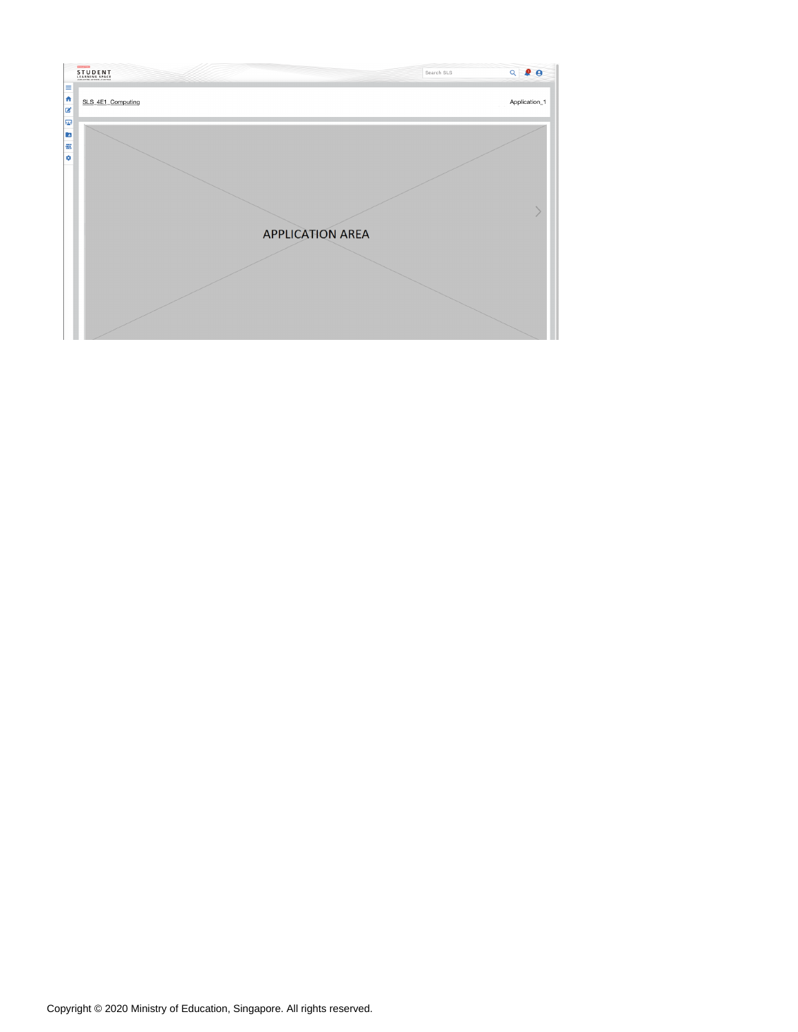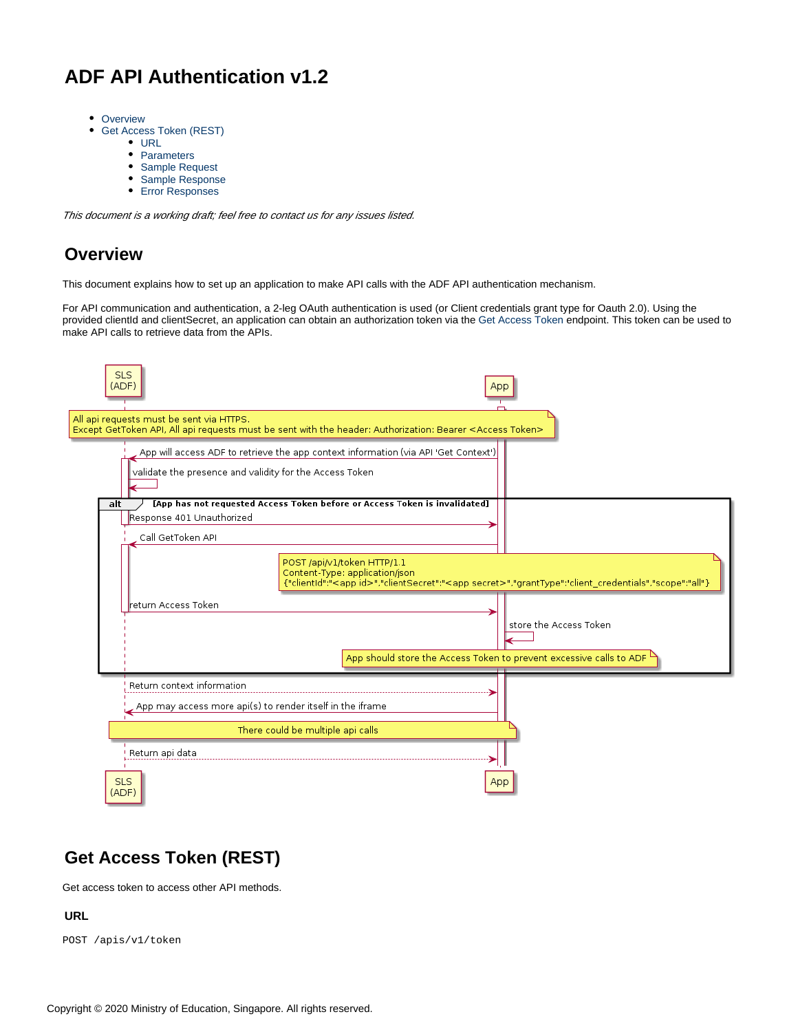## <span id="page-4-0"></span>**ADF API Authentication v1.2**

- [Overview](#page-4-1)
- [Get Access Token \(REST\)](#page-4-2)
	- [URL](#page-4-3)
	- [Parameters](#page-4-4)
	- [Sample Request](#page-5-0)
	- [Sample Response](#page-5-1)
	- [Error Responses](#page-5-2)

This document is a working draft; feel free to contact us for any issues listed.

## <span id="page-4-1"></span>**Overview**

This document explains how to set up an application to make API calls with the ADF API authentication mechanism.

For API communication and authentication, a 2-leg OAuth authentication is used (or Client credentials grant type for Oauth 2.0). Using the provided clientId and clientSecret, an application can obtain an authorization token via the Get Access Token endpoint. This token can be used to make API calls to retrieve data from the APIs.

| <b>SLS</b><br>(ADF)                                                                     |                                                                                                                                                                                          | Apr                                                                              |
|-----------------------------------------------------------------------------------------|------------------------------------------------------------------------------------------------------------------------------------------------------------------------------------------|----------------------------------------------------------------------------------|
| All api requests must be sent via HTTPS.                                                | Except GetToken API, All api requests must be sent with the header: Authorization: Bearer <access token=""></access>                                                                     |                                                                                  |
| validate the presence and validity for the Access Token                                 | App will access ADF to retrieve the app context information (via API 'Get Context')                                                                                                      |                                                                                  |
| alt<br>Response 401 Unauthorized<br>Call GetToken API                                   | [App has not requested Access Token before or Access Token is invalidated]                                                                                                               |                                                                                  |
|                                                                                         | POST /api/v1/token HTTP/1.1<br>Content-Type: application/json<br>{"clientId":" <app id="">","clientSecret":"<app secret="">","grantType":"client_credentials","scope":"all"}</app></app> |                                                                                  |
| return Access Token                                                                     |                                                                                                                                                                                          | store the Access Token                                                           |
|                                                                                         |                                                                                                                                                                                          | App should store the Access Token to prevent excessive calls to ADF <sup>L</sup> |
| Return context information<br>App may access more api(s) to render itself in the iframe |                                                                                                                                                                                          |                                                                                  |
|                                                                                         | There could be multiple api calls                                                                                                                                                        |                                                                                  |
| Return api data                                                                         |                                                                                                                                                                                          |                                                                                  |
| <b>SLS</b><br>(ADF)                                                                     |                                                                                                                                                                                          | App                                                                              |

## <span id="page-4-2"></span>**Get Access Token (REST)**

Get access token to access other API methods.

#### <span id="page-4-3"></span>**URL**

<span id="page-4-4"></span>POST /apis/v1/token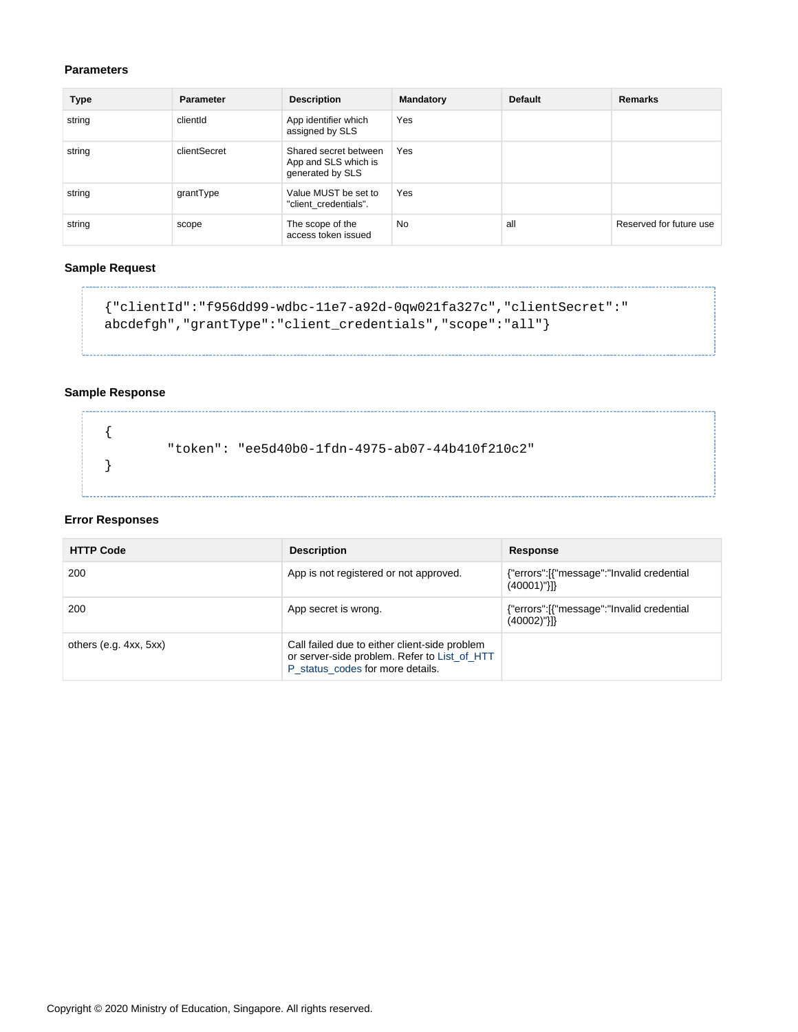#### **Parameters**

| Type   | <b>Parameter</b> | <b>Description</b>                                                | <b>Mandatory</b> | <b>Default</b> | Remarks                 |
|--------|------------------|-------------------------------------------------------------------|------------------|----------------|-------------------------|
| string | clientId         | App identifier which<br>assigned by SLS                           | Yes              |                |                         |
| string | clientSecret     | Shared secret between<br>App and SLS which is<br>generated by SLS | Yes              |                |                         |
| string | grantType        | Value MUST be set to<br>"client credentials".                     | Yes              |                |                         |
| string | scope            | The scope of the<br>access token issued                           | <b>No</b>        | all            | Reserved for future use |

#### <span id="page-5-0"></span>**Sample Request**

```
{"clientId":"f956dd99-wdbc-11e7-a92d-0qw021fa327c","clientSecret":"
abcdefgh","grantType":"client_credentials","scope":"all"}
```
#### <span id="page-5-1"></span>**Sample Response**

{ "token": "ee5d40b0-1fdn-4975-ab07-44b410f210c2" }

#### <span id="page-5-2"></span>**Error Responses**

| <b>HTTP Code</b>         | <b>Description</b>                                                                                                                | Response                                                    |
|--------------------------|-----------------------------------------------------------------------------------------------------------------------------------|-------------------------------------------------------------|
| 200                      | App is not registered or not approved.                                                                                            | {"errors":[{"message":"Invalid credential<br>$(40001)$ "}]} |
| 200                      | App secret is wrong.                                                                                                              | {"errors":[{"message":"Invalid credential<br>$(40002)$ "}]} |
| others $(e.g. 4xx, 5xx)$ | Call failed due to either client-side problem<br>or server-side problem. Refer to List_of_HTT<br>P status codes for more details. |                                                             |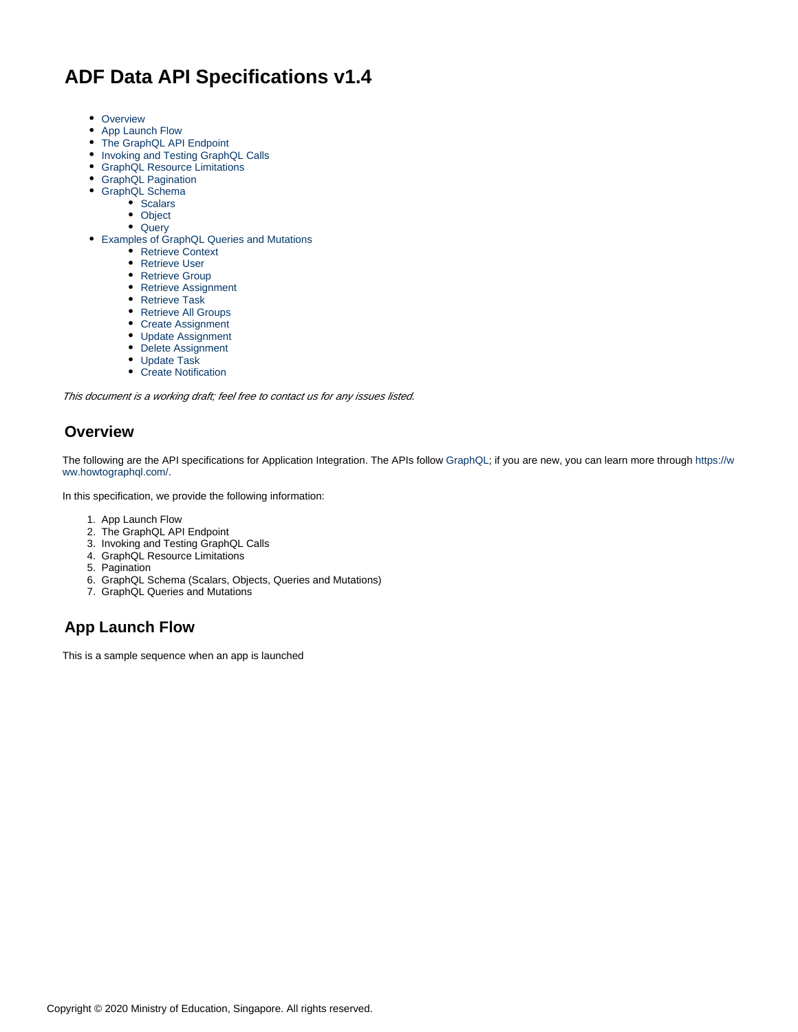## <span id="page-6-0"></span>**ADF Data API Specifications v1.4**

- [Overview](#page-6-1)
- [App Launch Flow](#page-6-2)
- [The GraphQL API Endpoint](#page-7-0)
- [Invoking and Testing GraphQL Calls](#page-7-1)
- [GraphQL Resource Limitations](#page-8-0)
- [GraphQL Pagination](#page-8-1)
- [GraphQL Schema](#page-8-2)
	- [Scalars](#page-8-3)
	- [Object](#page-8-4)
	- [Query](#page-16-0)
- [Examples of GraphQL Queries and Mutations](#page-20-0)
	- [Retrieve Context](#page-20-1)
	- [Retrieve User](#page-21-0)
	- [Retrieve Group](#page-23-0)
	- [Retrieve Assignment](#page-24-0)
	- [Retrieve Task](#page-26-0)
	- [Retrieve All Groups](#page-27-0)
	- [Create Assignment](#page-29-0)
	- [Update Assignment](#page-31-0)
	- [Delete Assignment](#page-32-0)
	- [Update Task](#page-33-0)
	- [Create Notification](#page-34-0)

This document is a working draft; feel free to contact us for any issues listed.

### <span id="page-6-1"></span>**Overview**

The following are the API specifications for Application Integration. The APIs follow [GraphQL](http://graphql.org/); if you are new, you can learn more through [https://w](https://www.howtographql.com/) [ww.howtographql.com/](https://www.howtographql.com/).

In this specification, we provide the following information:

- 1. App Launch Flow
- 2. The GraphQL API Endpoint
- 3. Invoking and Testing GraphQL Calls
- 4. GraphQL Resource Limitations
- 5. Pagination
- 6. GraphQL Schema (Scalars, Objects, Queries and Mutations)
- 7. GraphQL Queries and Mutations

## <span id="page-6-2"></span>**App Launch Flow**

This is a sample sequence when an app is launched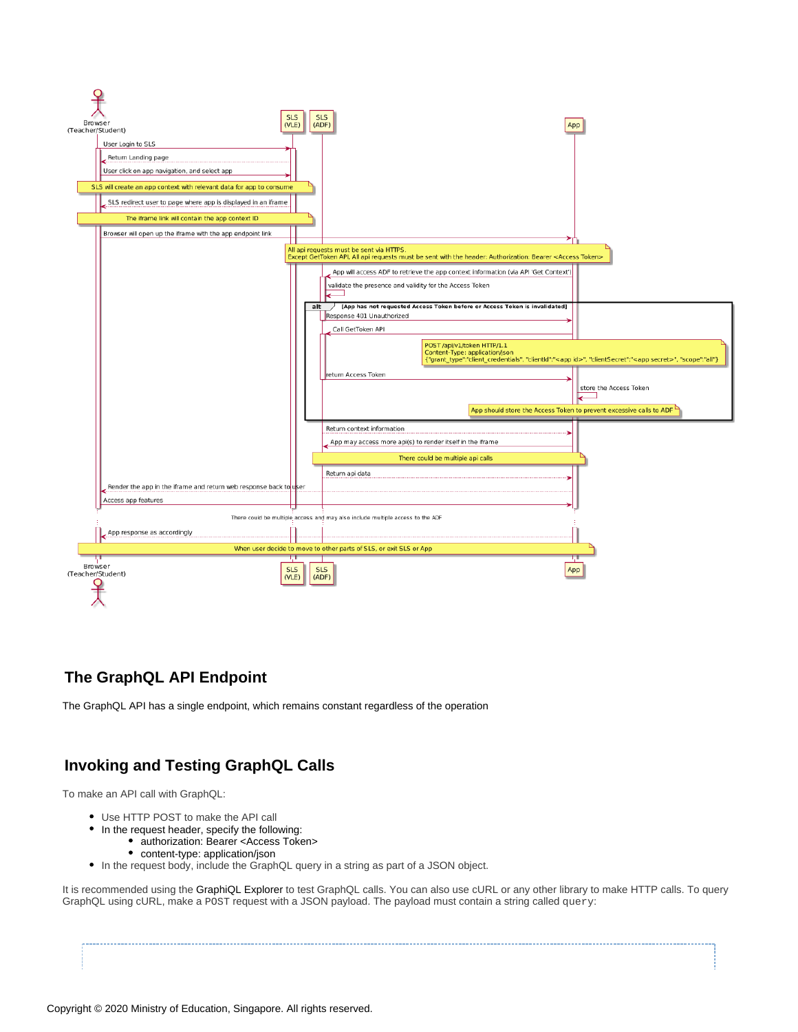

## <span id="page-7-0"></span>**The GraphQL API Endpoint**

The GraphQL API has a single endpoint, which remains constant regardless of the operation

## <span id="page-7-1"></span>**Invoking and Testing GraphQL Calls**

To make an API call with GraphQL:

- Use HTTP POST to make the API call
- In the request header, specify the following:
	- authorization: Bearer <Access Token>
	- content-type: application/json
- In the request body, include the GraphQL query in a string as part of a JSON object.

It is recommended using the GraphiQL Explorer to test GraphQL calls. You can also use cURL or any other library to make HTTP calls. To query GraphQL using cURL, make a POST request with a JSON payload. The payload must contain a string called query: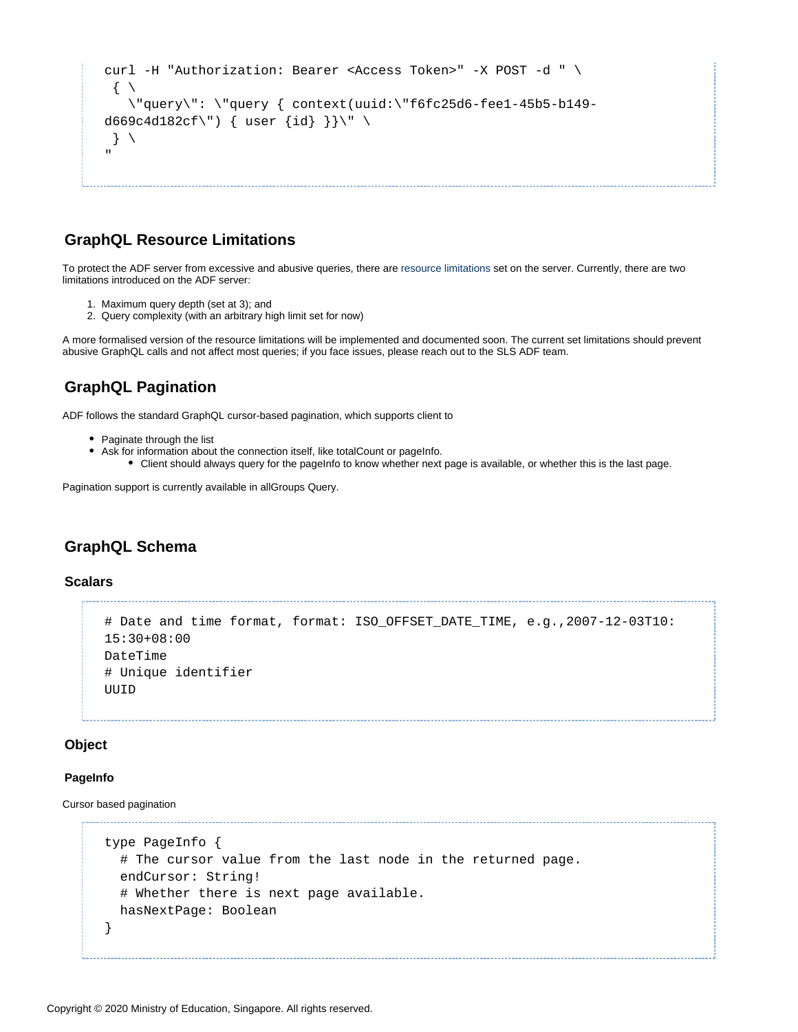```
curl -H "Authorization: Bearer <Access Token>" -X POST -d " \
 \left\{ \begin{array}{c} \end{array} \right\} \"query\": \"query { context(uuid:\"f6fc25d6-fee1-45b5-b149-
d669c4d182cf\') { user {id} }}\" \
 \}"
```
## <span id="page-8-0"></span>**GraphQL Resource Limitations**

To protect the ADF server from excessive and abusive queries, there are [resource limitations](https://www.howtographql.com/advanced/4-security/) set on the server. Currently, there are two limitations introduced on the ADF server:

- 1. Maximum query depth (set at 3); and
- 2. Query complexity (with an arbitrary high limit set for now)

A more formalised version of the resource limitations will be implemented and documented soon. The current set limitations should prevent abusive GraphQL calls and not affect most queries; if you face issues, please reach out to the SLS ADF team.

## <span id="page-8-1"></span>**GraphQL Pagination**

ADF follows the standard GraphQL cursor-based pagination, which supports client to

- Paginate through the list
- Ask for information about the connection itself, like totalCount or pageInfo.
	- Client should always query for the pageInfo to know whether next page is available, or whether this is the last page.

Pagination support is currently available in allGroups Query.

### <span id="page-8-2"></span>**GraphQL Schema**

#### <span id="page-8-3"></span>**Scalars**

```
# Date and time format, format: ISO_OFFSET_DATE_TIME, e.g.,2007-12-03T10:
15:30+08:00
DateTime
# Unique identifier
UUID
```
#### <span id="page-8-4"></span>**Object**

#### **PageInfo**

Cursor based pagination

```
type PageInfo {
  # The cursor value from the last node in the returned page.
  endCursor: String!
  # Whether there is next page available.
  hasNextPage: Boolean
}
```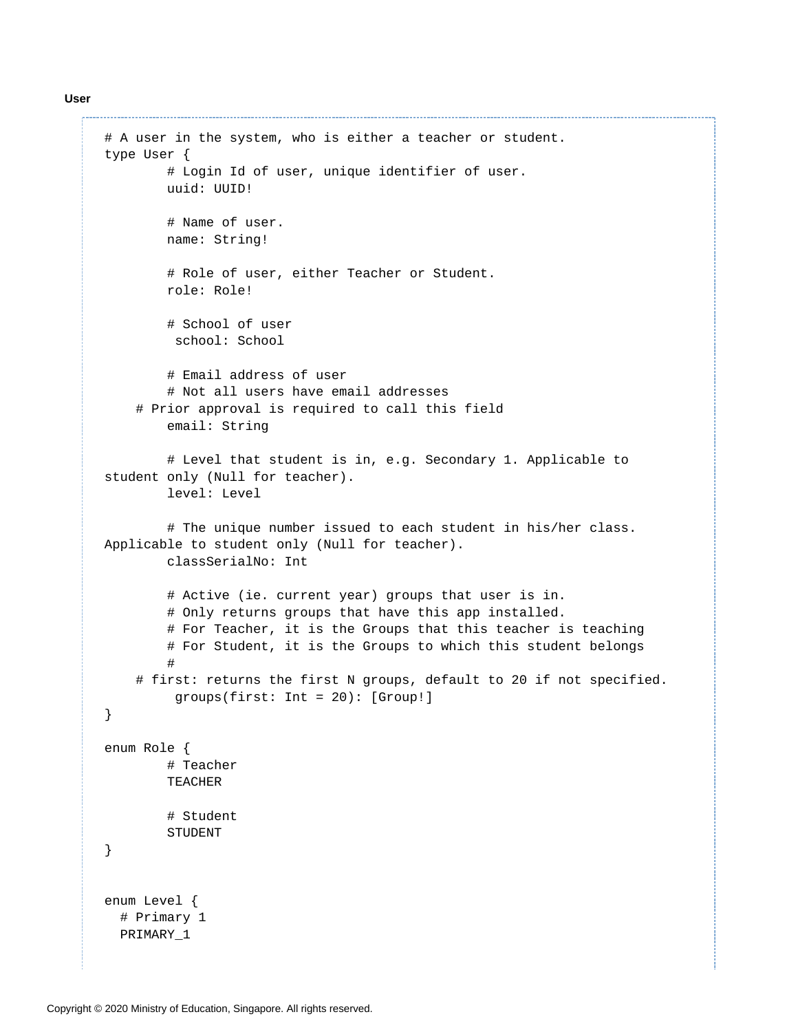**User**

```
# A user in the system, who is either a teacher or student.
type User {
         # Login Id of user, unique identifier of user.
         uuid: UUID! 
         # Name of user.
         name: String! 
         # Role of user, either Teacher or Student.
         role: Role! 
         # School of user
          school: School
         # Email address of user
         # Not all users have email addresses
     # Prior approval is required to call this field
         email: String
         # Level that student is in, e.g. Secondary 1. Applicable to 
student only (Null for teacher).
         level: Level 
         # The unique number issued to each student in his/her class. 
Applicable to student only (Null for teacher).
         classSerialNo: Int
         # Active (ie. current year) groups that user is in. 
         # Only returns groups that have this app installed.
        # For Teacher, it is the Groups that this teacher is teaching
         # For Student, it is the Groups to which this student belongs
 #
     # first: returns the first N groups, default to 20 if not specified. 
          groups(first: Int = 20): [Group!]
}
enum Role {
         # Teacher
         TEACHER
         # Student
         STUDENT
}
enum Level {
  # Primary 1
  PRIMARY_1
```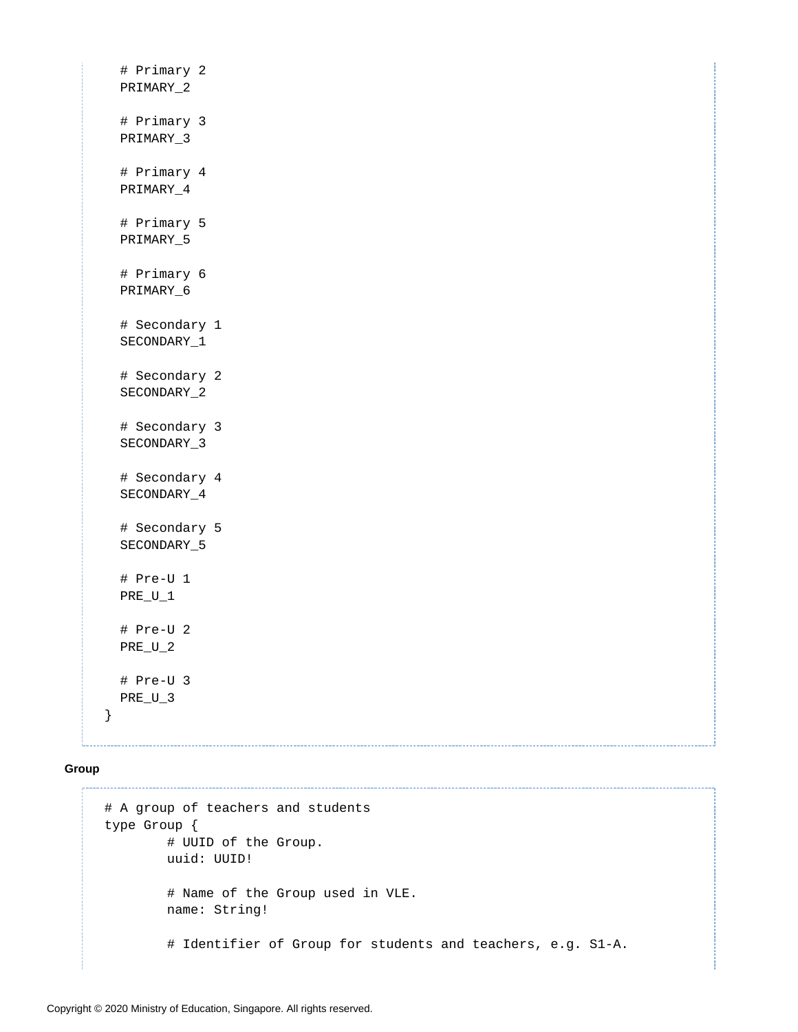```
 # Primary 2
 PRIMARY_2
 # Primary 3
 PRIMARY_3
 # Primary 4
 PRIMARY_4
 # Primary 5
 PRIMARY_5
 # Primary 6
 PRIMARY_6
 # Secondary 1
 SECONDARY_1
 # Secondary 2
 SECONDARY_2
 # Secondary 3
 SECONDARY_3
 # Secondary 4
 SECONDARY_4
 # Secondary 5
 SECONDARY_5
 # Pre-U 1
 PRE_U_1
 # Pre-U 2
 PRE_U_2
 # Pre-U 3
PRE_U_3
```
#### **Group**

}

```
# A group of teachers and students 
type Group {
         # UUID of the Group.
         uuid: UUID! 
         # Name of the Group used in VLE.
         name: String!
         # Identifier of Group for students and teachers, e.g. S1-A.
```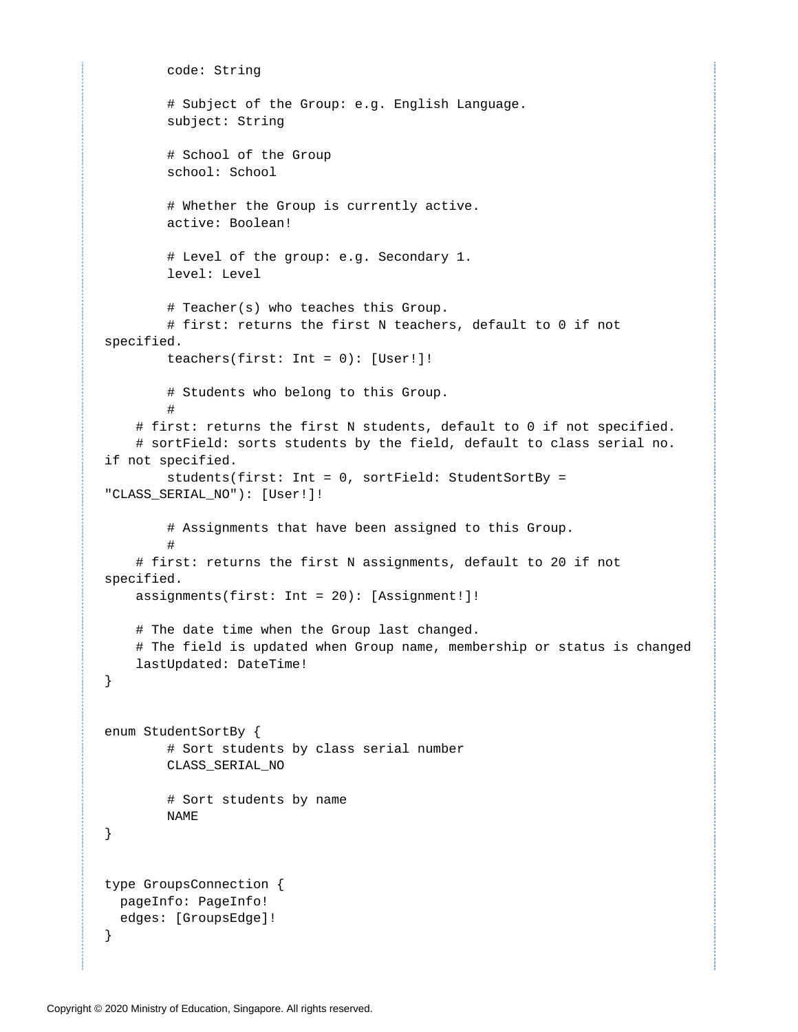```
 code: String 
         # Subject of the Group: e.g. English Language.
         subject: String
         # School of the Group
         school: School
         # Whether the Group is currently active.
         active: Boolean!
         # Level of the group: e.g. Secondary 1.
         level: Level
         # Teacher(s) who teaches this Group.
         # first: returns the first N teachers, default to 0 if not 
specified. 
         teachers(first: Int = 0): [User!]!
         # Students who belong to this Group.
 #
     # first: returns the first N students, default to 0 if not specified. 
     # sortField: sorts students by the field, default to class serial no. 
if not specified.
         students(first: Int = 0, sortField: StudentSortBy = 
"CLASS_SERIAL_NO"): [User!]!
         # Assignments that have been assigned to this Group.
 #
     # first: returns the first N assignments, default to 20 if not 
specified. 
     assignments(first: Int = 20): [Assignment!]! 
     # The date time when the Group last changed.
     # The field is updated when Group name, membership or status is changed
     lastUpdated: DateTime!
}
enum StudentSortBy {
         # Sort students by class serial number
         CLASS_SERIAL_NO
         # Sort students by name
         NAME
}
type GroupsConnection {
  pageInfo: PageInfo!
  edges: [GroupsEdge]!
}
```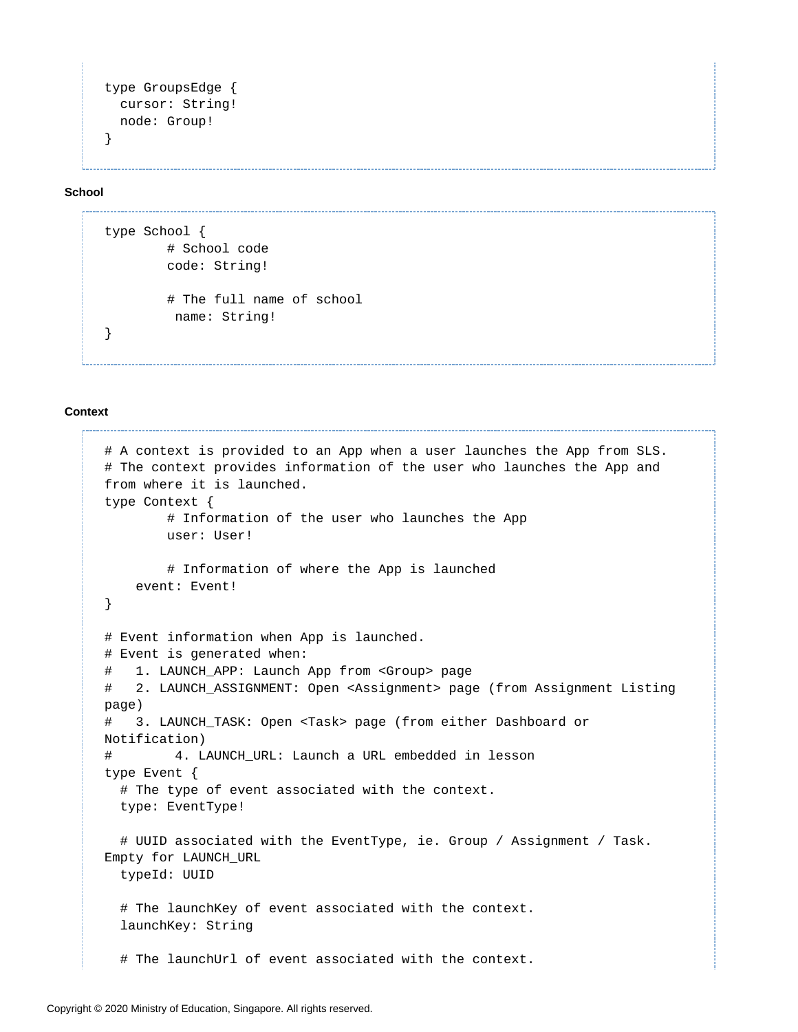```
type GroupsEdge {
  cursor: String!
  node: Group!
}
```
**School**

```
type School {
         # School code
         code: String!
         # The full name of school
          name: String!
}
```
#### **Context**

```
# A context is provided to an App when a user launches the App from SLS. 
# The context provides information of the user who launches the App and 
from where it is launched.
type Context {
         # Information of the user who launches the App
         user: User!
         # Information of where the App is launched
     event: Event!
}
# Event information when App is launched.
# Event is generated when:
# 1. LAUNCH_APP: Launch App from <Group> page
# 2. LAUNCH_ASSIGNMENT: Open <Assignment> page (from Assignment Listing 
page)
# 3. LAUNCH_TASK: Open <Task> page (from either Dashboard or 
Notification)
# 4. LAUNCH_URL: Launch a URL embedded in lesson
type Event {
   # The type of event associated with the context.
   type: EventType!
   # UUID associated with the EventType, ie. Group / Assignment / Task. 
Empty for LAUNCH_URL
   typeId: UUID
   # The launchKey of event associated with the context.
   launchKey: String
   # The launchUrl of event associated with the context.
```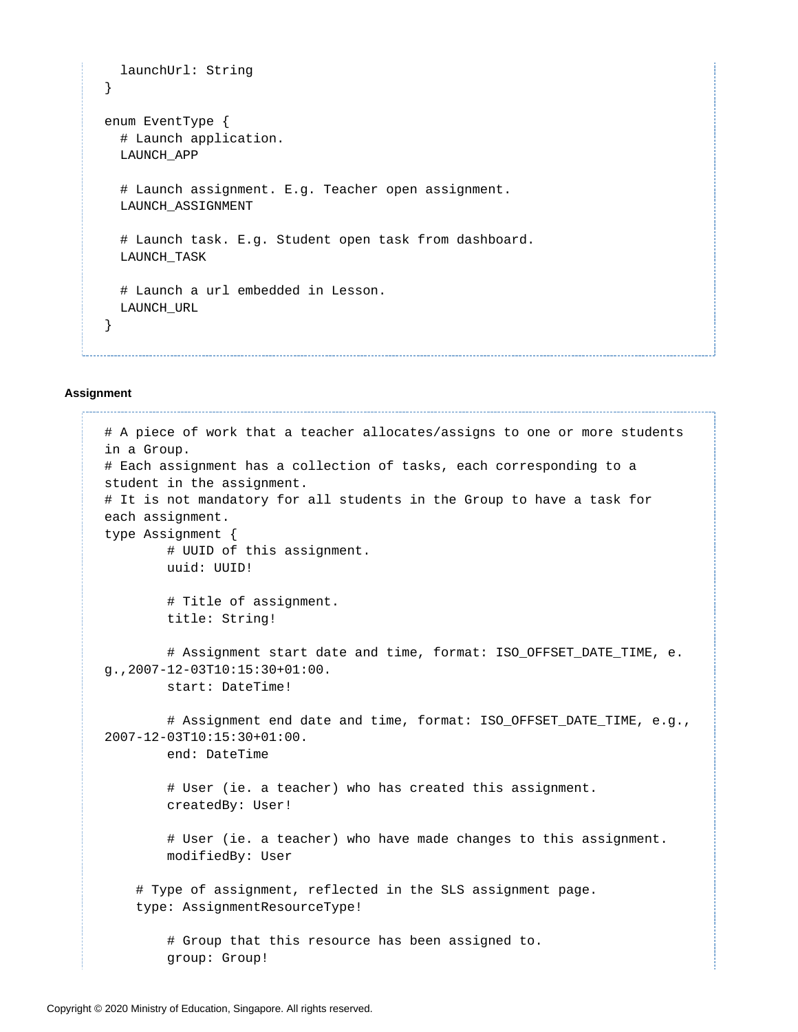```
 launchUrl: String
}
enum EventType {
   # Launch application.
   LAUNCH_APP
   # Launch assignment. E.g. Teacher open assignment.
   LAUNCH_ASSIGNMENT
   # Launch task. E.g. Student open task from dashboard.
   LAUNCH_TASK
   # Launch a url embedded in Lesson.
   LAUNCH_URL
}
```
#### **Assignment**

```
# A piece of work that a teacher allocates/assigns to one or more students 
in a Group.
# Each assignment has a collection of tasks, each corresponding to a 
student in the assignment.
# It is not mandatory for all students in the Group to have a task for 
each assignment.
type Assignment {
         # UUID of this assignment.
         uuid: UUID!
         # Title of assignment.
         title: String! 
         # Assignment start date and time, format: ISO_OFFSET_DATE_TIME, e.
g.,2007-12-03T10:15:30+01:00.
         start: DateTime! 
         # Assignment end date and time, format: ISO_OFFSET_DATE_TIME, e.g.,
2007-12-03T10:15:30+01:00.
         end: DateTime 
         # User (ie. a teacher) who has created this assignment.
         createdBy: User! 
         # User (ie. a teacher) who have made changes to this assignment.
         modifiedBy: User 
     # Type of assignment, reflected in the SLS assignment page.
     type: AssignmentResourceType!
         # Group that this resource has been assigned to.
         group: Group!
```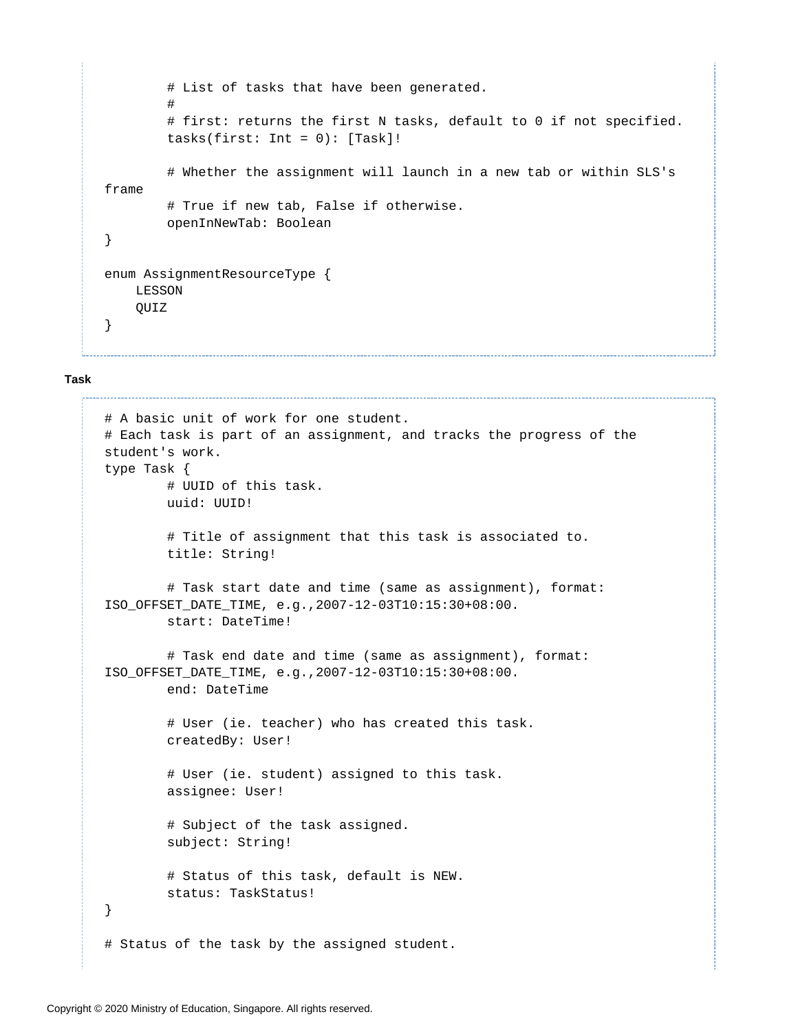```
 # List of tasks that have been generated.
 #
         # first: returns the first N tasks, default to 0 if not specified. 
        tasks(first: Int = 0): [Task]! # Whether the assignment will launch in a new tab or within SLS's 
frame
         # True if new tab, False if otherwise.
         openInNewTab: Boolean
}
enum AssignmentResourceType {
    LESSON
    QUIZ
}
```
#### **Task**

```
# A basic unit of work for one student. 
# Each task is part of an assignment, and tracks the progress of the 
student's work.
type Task {
         # UUID of this task.
         uuid: UUID! 
         # Title of assignment that this task is associated to.
         title: String! 
         # Task start date and time (same as assignment), format: 
ISO_OFFSET_DATE_TIME, e.g.,2007-12-03T10:15:30+08:00.
         start: DateTime! 
         # Task end date and time (same as assignment), format: 
ISO_OFFSET_DATE_TIME, e.g.,2007-12-03T10:15:30+08:00.
         end: DateTime
         # User (ie. teacher) who has created this task.
         createdBy: User! 
         # User (ie. student) assigned to this task.
         assignee: User! 
         # Subject of the task assigned.
         subject: String! 
         # Status of this task, default is NEW.
         status: TaskStatus!
}
# Status of the task by the assigned student.
```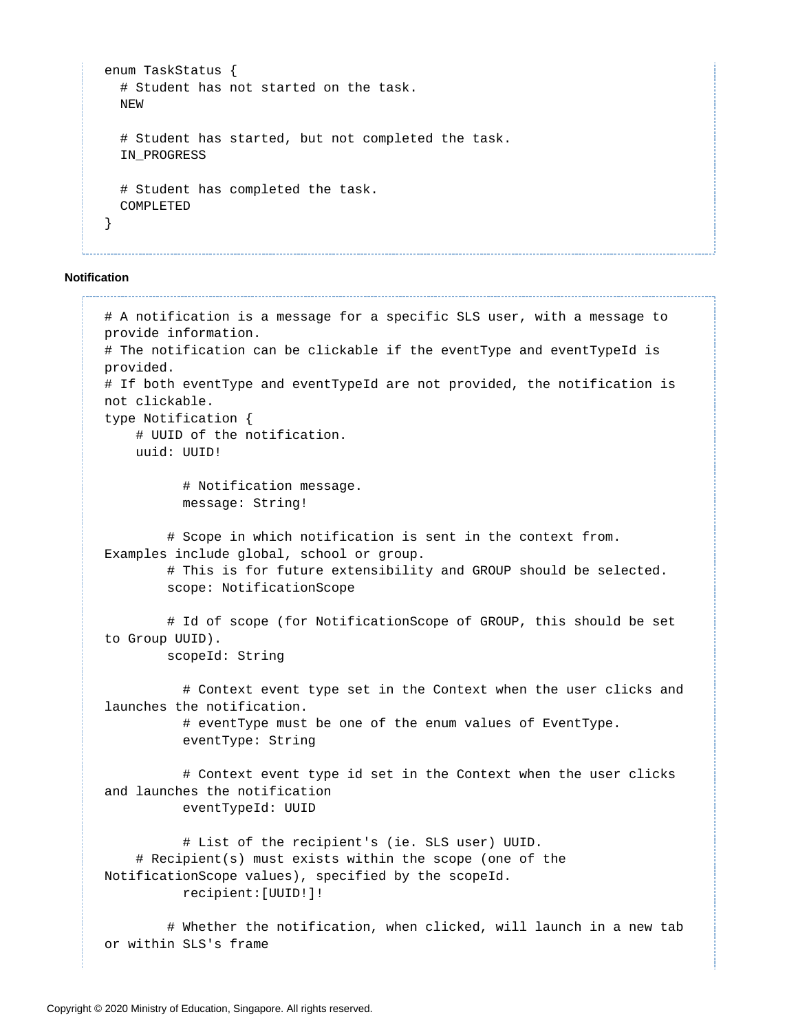```
enum TaskStatus {
   # Student has not started on the task.
   NEW
   # Student has started, but not completed the task.
   IN_PROGRESS
   # Student has completed the task.
   COMPLETED
}
```
**Notification**

```
# A notification is a message for a specific SLS user, with a message to 
provide information. 
# The notification can be clickable if the eventType and eventTypeId is 
provided. 
# If both eventType and eventTypeId are not provided, the notification is 
not clickable.
type Notification {
     # UUID of the notification.
     uuid: UUID!
           # Notification message.
           message: String!
         # Scope in which notification is sent in the context from. 
Examples include global, school or group.
         # This is for future extensibility and GROUP should be selected.
         scope: NotificationScope
         # Id of scope (for NotificationScope of GROUP, this should be set 
to Group UUID).
         scopeId: String
           # Context event type set in the Context when the user clicks and 
launches the notification.
           # eventType must be one of the enum values of EventType.
           eventType: String
           # Context event type id set in the Context when the user clicks 
and launches the notification
           eventTypeId: UUID
           # List of the recipient's (ie. SLS user) UUID.
     # Recipient(s) must exists within the scope (one of the 
NotificationScope values), specified by the scopeId.
           recipient:[UUID!]!
         # Whether the notification, when clicked, will launch in a new tab
```
or within SLS's frame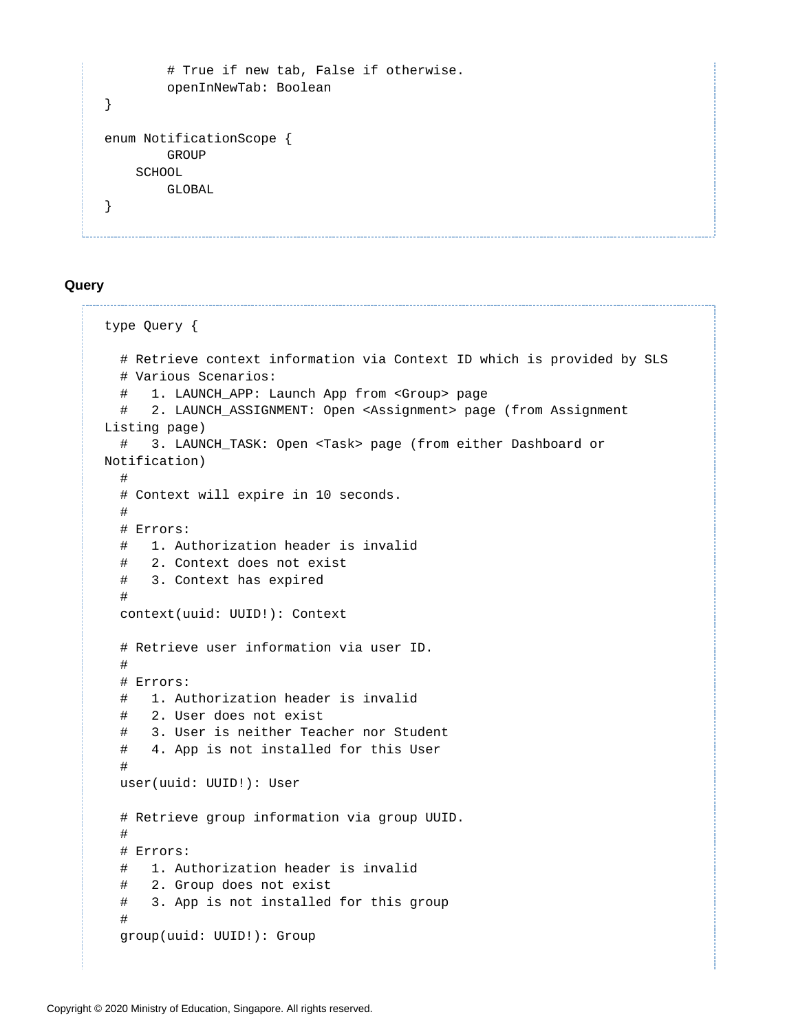```
 # True if new tab, False if otherwise.
         openInNewTab: Boolean
}
enum NotificationScope {
         GROUP
     SCHOOL
         GLOBAL
}
```
#### <span id="page-16-0"></span>**Query**

```
type Query {
   # Retrieve context information via Context ID which is provided by SLS
   # Various Scenarios:
   # 1. LAUNCH_APP: Launch App from <Group> page
   # 2. LAUNCH_ASSIGNMENT: Open <Assignment> page (from Assignment 
Listing page)
   # 3. LAUNCH_TASK: Open <Task> page (from either Dashboard or 
Notification)
   # 
   # Context will expire in 10 seconds.
   #
   # Errors:
   # 1. Authorization header is invalid
   # 2. Context does not exist
   # 3. Context has expired
 #
   context(uuid: UUID!): Context
   # Retrieve user information via user ID.
   #
   # Errors:
   # 1. Authorization header is invalid
   # 2. User does not exist
   # 3. User is neither Teacher nor Student
   # 4. App is not installed for this User
   #
   user(uuid: UUID!): User
   # Retrieve group information via group UUID.
   #
   # Errors:
   # 1. Authorization header is invalid
   # 2. Group does not exist
   # 3. App is not installed for this group
   #
   group(uuid: UUID!): Group
```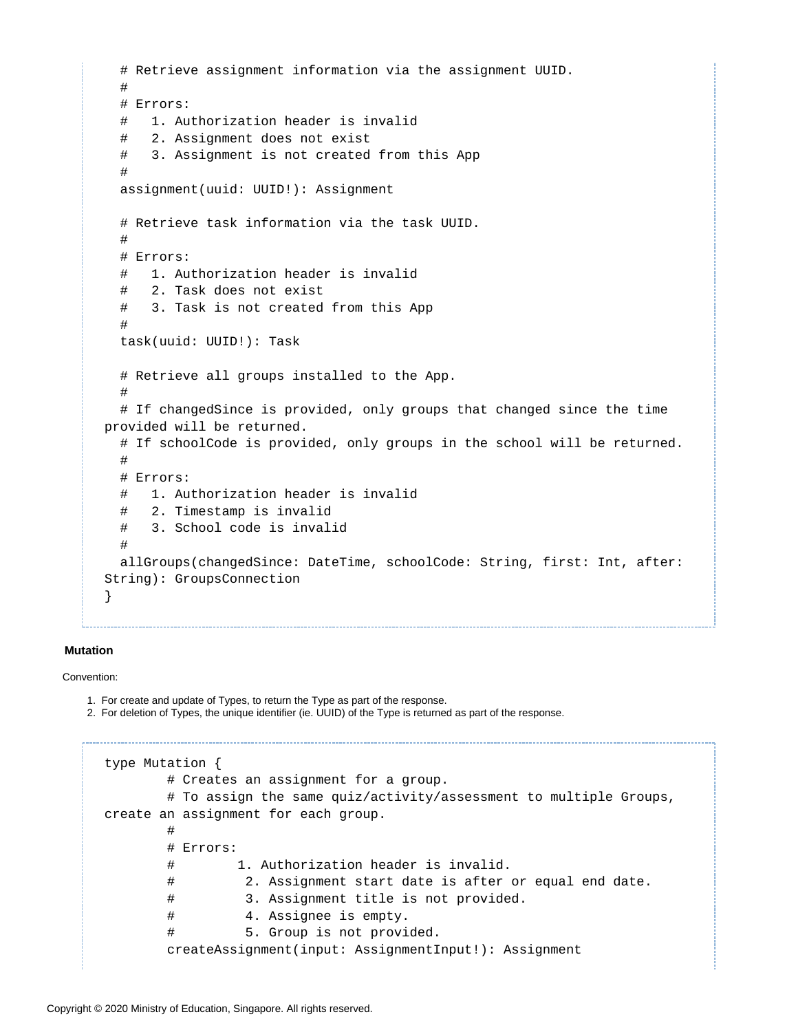```
 # Retrieve assignment information via the assignment UUID.
   #
   # Errors:
   # 1. Authorization header is invalid
   # 2. Assignment does not exist
   # 3. Assignment is not created from this App
   #
   assignment(uuid: UUID!): Assignment
   # Retrieve task information via the task UUID.
 #
   # Errors:
   # 1. Authorization header is invalid
   # 2. Task does not exist
   # 3. Task is not created from this App
 # 
   task(uuid: UUID!): Task
   # Retrieve all groups installed to the App.
   # 
   # If changedSince is provided, only groups that changed since the time 
provided will be returned.
   # If schoolCode is provided, only groups in the school will be returned.
 #
   # Errors:
   # 1. Authorization header is invalid
   # 2. Timestamp is invalid
   # 3. School code is invalid
 # 
   allGroups(changedSince: DateTime, schoolCode: String, first: Int, after: 
String): GroupsConnection
}
```
#### **Mutation**

Convention:

- 1. For create and update of Types, to return the Type as part of the response.
- 2. For deletion of Types, the unique identifier (ie. UUID) of the Type is returned as part of the response.

```
type Mutation {
        # Creates an assignment for a group. 
        # To assign the same quiz/activity/assessment to multiple Groups, 
create an assignment for each group.
        #
        # Errors:
        # 1. Authorization header is invalid.
        # 2. Assignment start date is after or equal end date.
        # 3. Assignment title is not provided.
        # 4. Assignee is empty.
        # 5. Group is not provided.
        createAssignment(input: AssignmentInput!): Assignment
```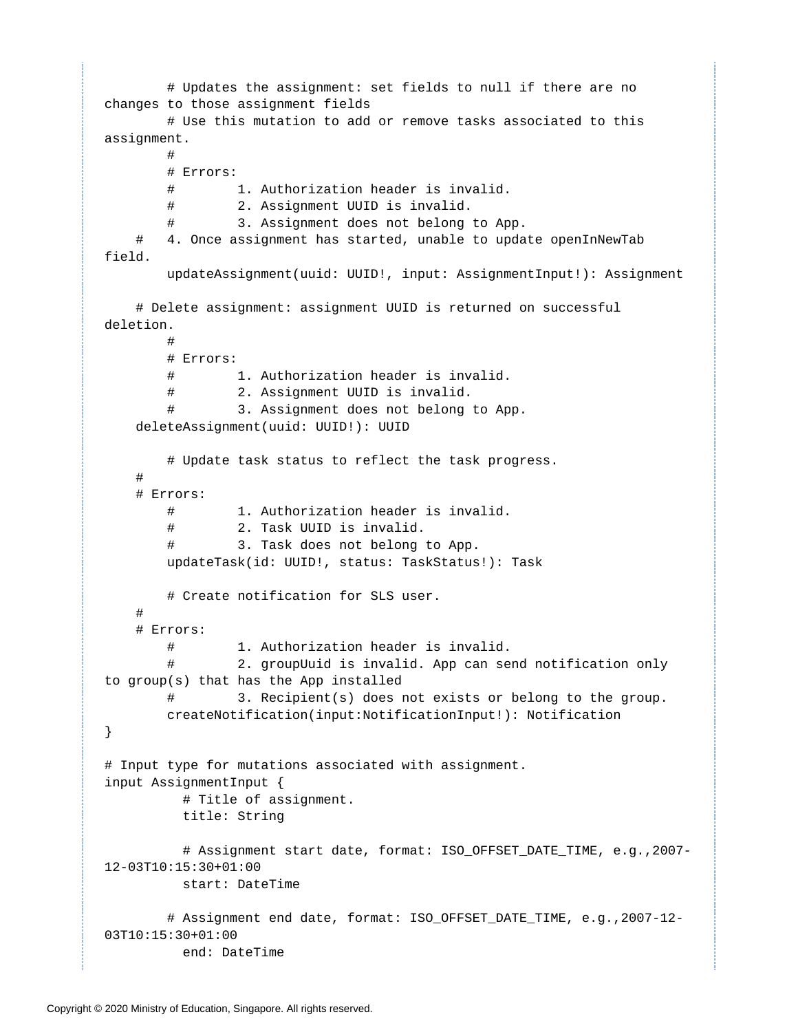```
 # Updates the assignment: set fields to null if there are no 
changes to those assignment fields
        # Use this mutation to add or remove tasks associated to this 
assignment.
 #
        # Errors: 
        # 1. Authorization header is invalid.
        # 2. Assignment UUID is invalid.
        # 3. Assignment does not belong to App.
     # 4. Once assignment has started, unable to update openInNewTab 
field.
        updateAssignment(uuid: UUID!, input: AssignmentInput!): Assignment
     # Delete assignment: assignment UUID is returned on successful 
deletion.
 #
        # Errors: 
        # 1. Authorization header is invalid.
        # 2. Assignment UUID is invalid.
        # 3. Assignment does not belong to App.
    deleteAssignment(uuid: UUID!): UUID
        # Update task status to reflect the task progress.
     #
     # Errors:
        # 1. Authorization header is invalid.
        # 2. Task UUID is invalid.
        # 3. Task does not belong to App.
        updateTask(id: UUID!, status: TaskStatus!): Task
        # Create notification for SLS user.
 #
     # Errors:
        # 1. Authorization header is invalid.
                2. groupUuid is invalid. App can send notification only
to group(s) that has the App installed
        # 3. Recipient(s) does not exists or belong to the group.
        createNotification(input:NotificationInput!): Notification
}
# Input type for mutations associated with assignment.
input AssignmentInput {
          # Title of assignment.
          title: String
          # Assignment start date, format: ISO_OFFSET_DATE_TIME, e.g.,2007-
12-03T10:15:30+01:00
          start: DateTime
        # Assignment end date, format: ISO_OFFSET_DATE_TIME, e.g.,2007-12-
03T10:15:30+01:00
          end: DateTime
```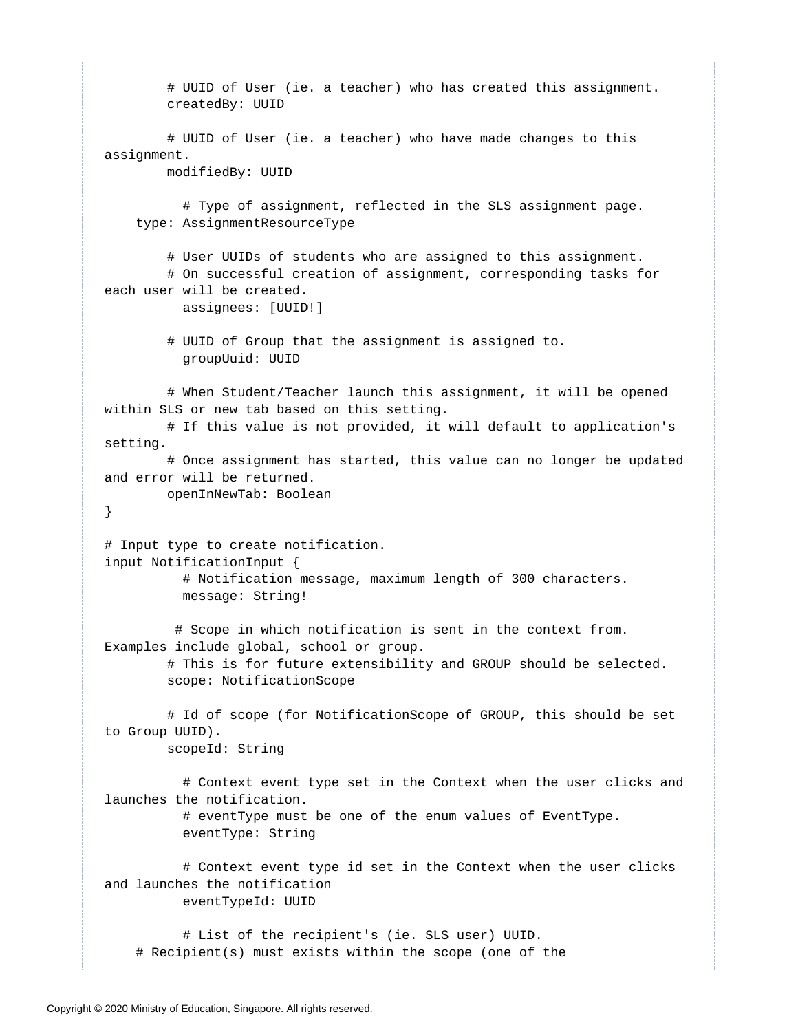```
 # UUID of User (ie. a teacher) who has created this assignment.
         createdBy: UUID 
         # UUID of User (ie. a teacher) who have made changes to this 
assignment.
         modifiedBy: UUID
           # Type of assignment, reflected in the SLS assignment page.
     type: AssignmentResourceType
         # User UUIDs of students who are assigned to this assignment. 
         # On successful creation of assignment, corresponding tasks for 
each user will be created.
           assignees: [UUID!]
         # UUID of Group that the assignment is assigned to.
           groupUuid: UUID
         # When Student/Teacher launch this assignment, it will be opened 
within SLS or new tab based on this setting.
         # If this value is not provided, it will default to application's 
setting.
         # Once assignment has started, this value can no longer be updated 
and error will be returned.
         openInNewTab: Boolean
}
# Input type to create notification.
input NotificationInput {
           # Notification message, maximum length of 300 characters.
           message: String!
          # Scope in which notification is sent in the context from. 
Examples include global, school or group.
         # This is for future extensibility and GROUP should be selected.
         scope: NotificationScope
         # Id of scope (for NotificationScope of GROUP, this should be set 
to Group UUID).
         scopeId: String
           # Context event type set in the Context when the user clicks and 
launches the notification.
           # eventType must be one of the enum values of EventType.
           eventType: String
           # Context event type id set in the Context when the user clicks 
and launches the notification
           eventTypeId: UUID
           # List of the recipient's (ie. SLS user) UUID.
     # Recipient(s) must exists within the scope (one of the
```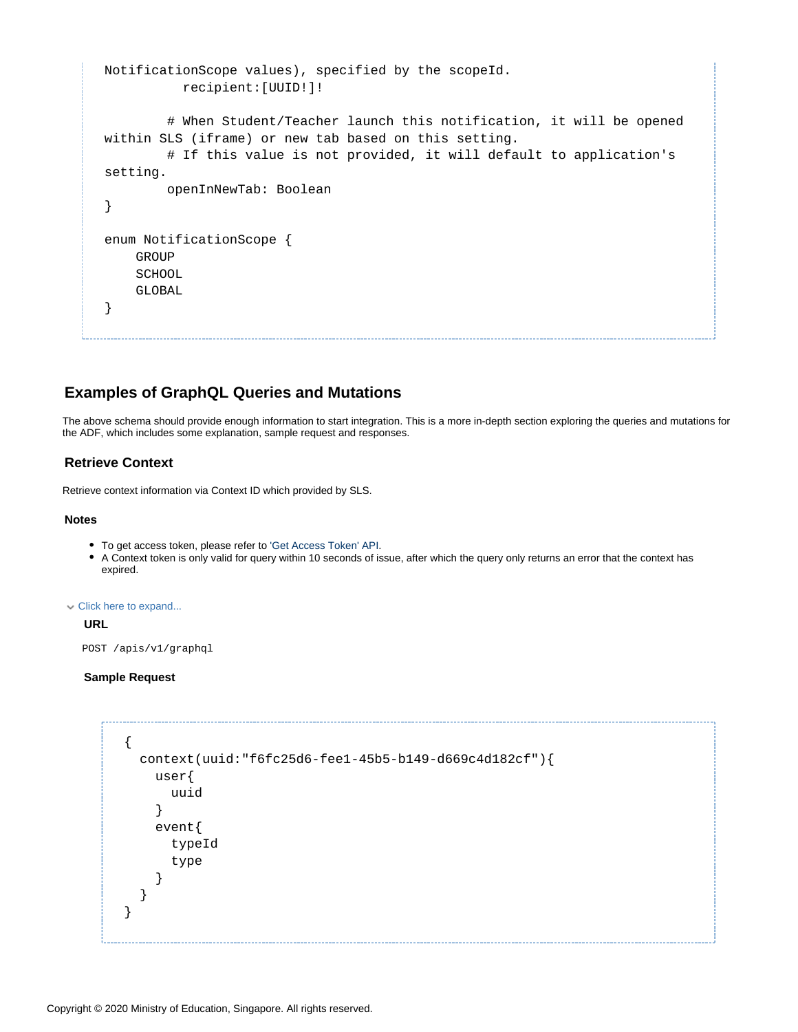```
NotificationScope values), specified by the scopeId.
           recipient:[UUID!]!
         # When Student/Teacher launch this notification, it will be opened 
within SLS (iframe) or new tab based on this setting.
         # If this value is not provided, it will default to application's 
setting.
         openInNewTab: Boolean
}
enum NotificationScope {
     GROUP
     SCHOOL
     GLOBAL
}
```
## <span id="page-20-0"></span>**Examples of GraphQL Queries and Mutations**

The above schema should provide enough information to start integration. This is a more in-depth section exploring the queries and mutations for the ADF, which includes some explanation, sample request and responses.

#### <span id="page-20-1"></span>**Retrieve Context**

Retrieve context information via Context ID which provided by SLS.

#### **Notes**

- To get access token, please refer to ['Get Access Token' API.](https://confluence.sls.ufinity.com/display/SLS/ADF+API+Authentication+v1.1)
- A Context token is only valid for query within 10 seconds of issue, after which the query only returns an error that the context has expired.

Click here to expand...

#### **URL**

POST /apis/v1/graphql

#### **Sample Request**

```
{
   context(uuid:"f6fc25d6-fee1-45b5-b149-d669c4d182cf"){
     user{
       uuid
     }
     event{
       typeId
       type
     }
   }
}
```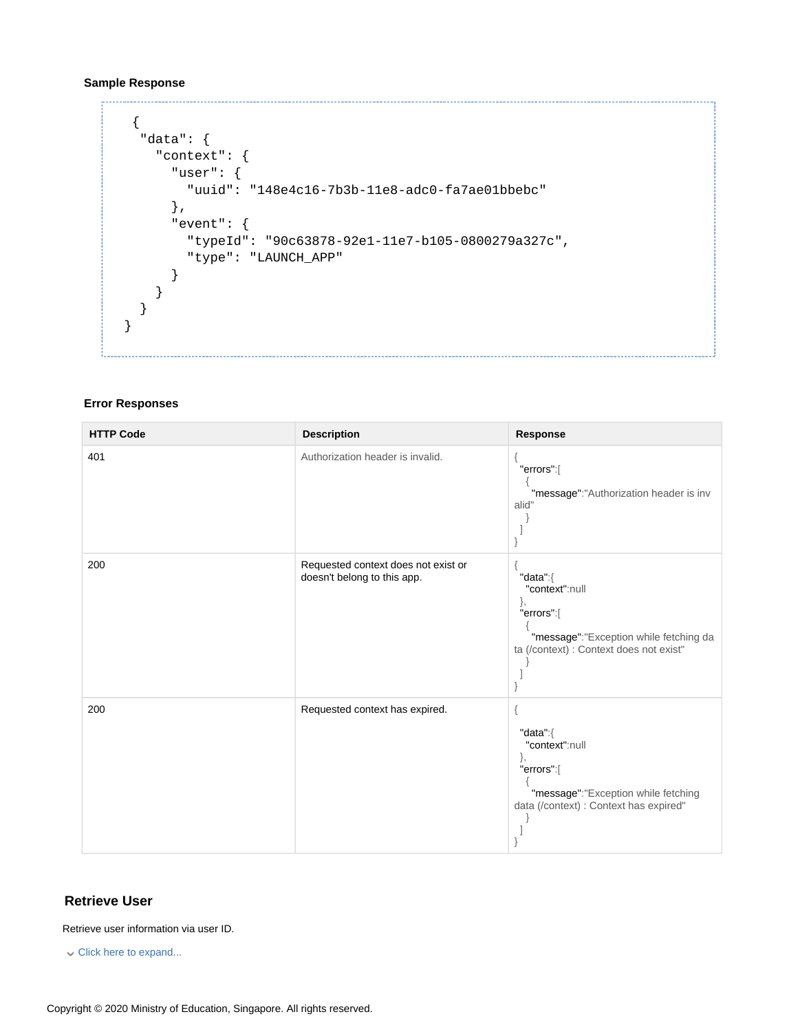#### **Sample Response**

```
 {
   "data": {
     "context": {
       "user": {
         "uuid": "148e4c16-7b3b-11e8-adc0-fa7ae01bbebc"
       },
       "event": {
         "typeId": "90c63878-92e1-11e7-b105-0800279a327c",
         "type": "LAUNCH_APP"
       }
     }
   }
}
```
#### **Error Responses**

| <b>HTTP Code</b> | <b>Description</b>                                                 | Response                                                                                                                            |
|------------------|--------------------------------------------------------------------|-------------------------------------------------------------------------------------------------------------------------------------|
| 401              | Authorization header is invalid.                                   | "errors":[<br>"message":"Authorization header is inv<br>alid"                                                                       |
| 200              | Requested context does not exist or<br>doesn't belong to this app. | "data":{<br>"context":null<br>},<br>"errors":[<br>"message":"Exception while fetching da<br>ta (/context) : Context does not exist" |
| 200              | Requested context has expired.                                     | "data":{<br>"context":null<br>},<br>"errors":[<br>"message":"Exception while fetching<br>data (/context) : Context has expired"     |

#### <span id="page-21-0"></span>**Retrieve User**

Retrieve user information via user ID.

Click here to expand...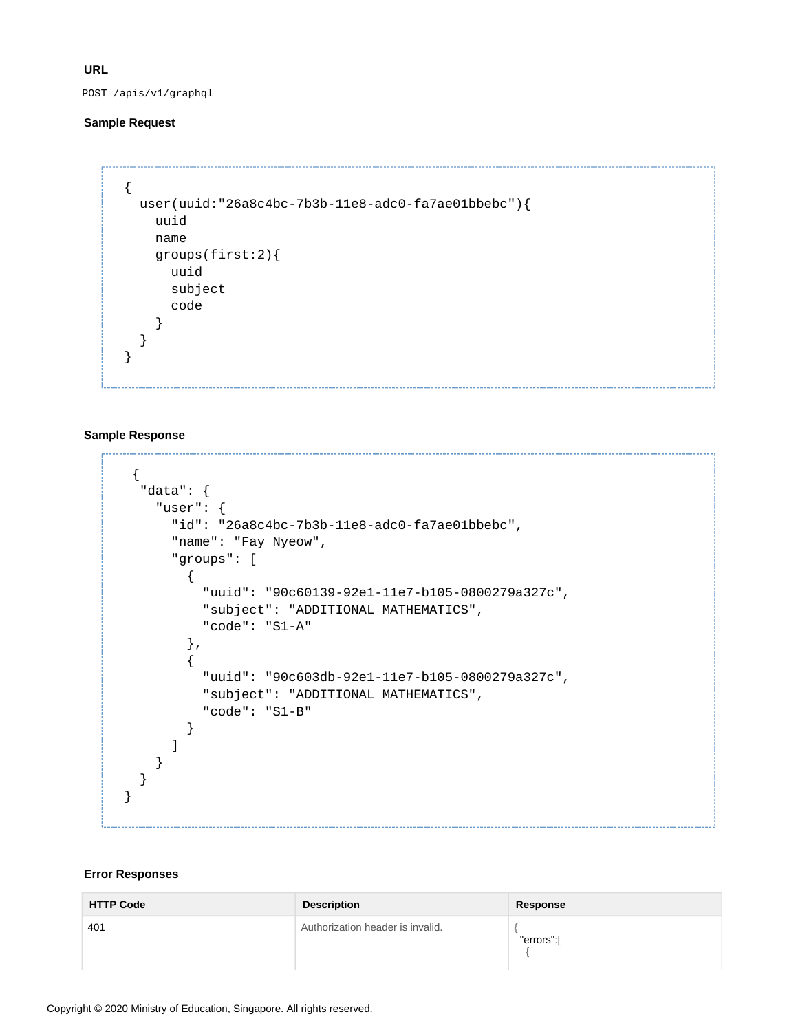**URL**

POST /apis/v1/graphql

#### **Sample Request**

```
{
   user(uuid:"26a8c4bc-7b3b-11e8-adc0-fa7ae01bbebc"){
     uuid
     name
     groups(first:2){
       uuid
       subject
       code
     }
   }
}
```
#### **Sample Response**

```
 {
   "data": {
     "user": {
       "id": "26a8c4bc-7b3b-11e8-adc0-fa7ae01bbebc",
       "name": "Fay Nyeow",
       "groups": [
         {
            "uuid": "90c60139-92e1-11e7-b105-0800279a327c",
            "subject": "ADDITIONAL MATHEMATICS",
            "code": "S1-A"
         },
         {
            "uuid": "90c603db-92e1-11e7-b105-0800279a327c",
            "subject": "ADDITIONAL MATHEMATICS",
           "code": "S1-B"
         }
       ]
     }
   }
}
```
#### **Error Responses**

| <b>HTTP Code</b> | <b>Description</b>               | Response   |
|------------------|----------------------------------|------------|
| 401              | Authorization header is invalid. | "errors":[ |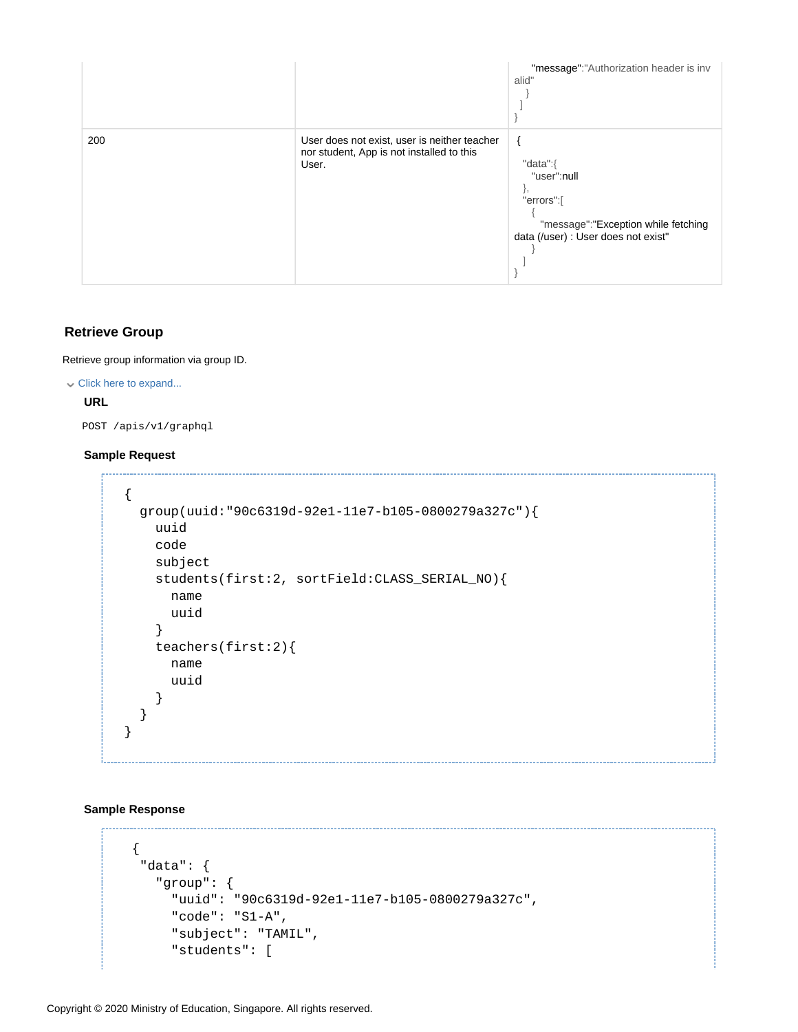|     |                                                                                                    | "message":"Authorization header is inv<br>alid"                                                                     |
|-----|----------------------------------------------------------------------------------------------------|---------------------------------------------------------------------------------------------------------------------|
| 200 | User does not exist, user is neither teacher<br>nor student, App is not installed to this<br>User. | "data":{<br>"user":null<br>"errors":[<br>"message":"Exception while fetching<br>data (/user) : User does not exist" |

#### <span id="page-23-0"></span>**Retrieve Group**

Retrieve group information via group ID.

#### Click here to expand...

#### **URL**

POST /apis/v1/graphql

#### **Sample Request**

```
{
   group(uuid:"90c6319d-92e1-11e7-b105-0800279a327c"){
     uuid
     code
     subject
     students(first:2, sortField:CLASS_SERIAL_NO){
       name
       uuid
     }
     teachers(first:2){
       name
       uuid
     }
   }
}
```
#### **Sample Response**

```
 {
  "data": {
    "group": {
      "uuid": "90c6319d-92e1-11e7-b105-0800279a327c",
      "code": "S1-A",
      "subject": "TAMIL",
      "students": [
```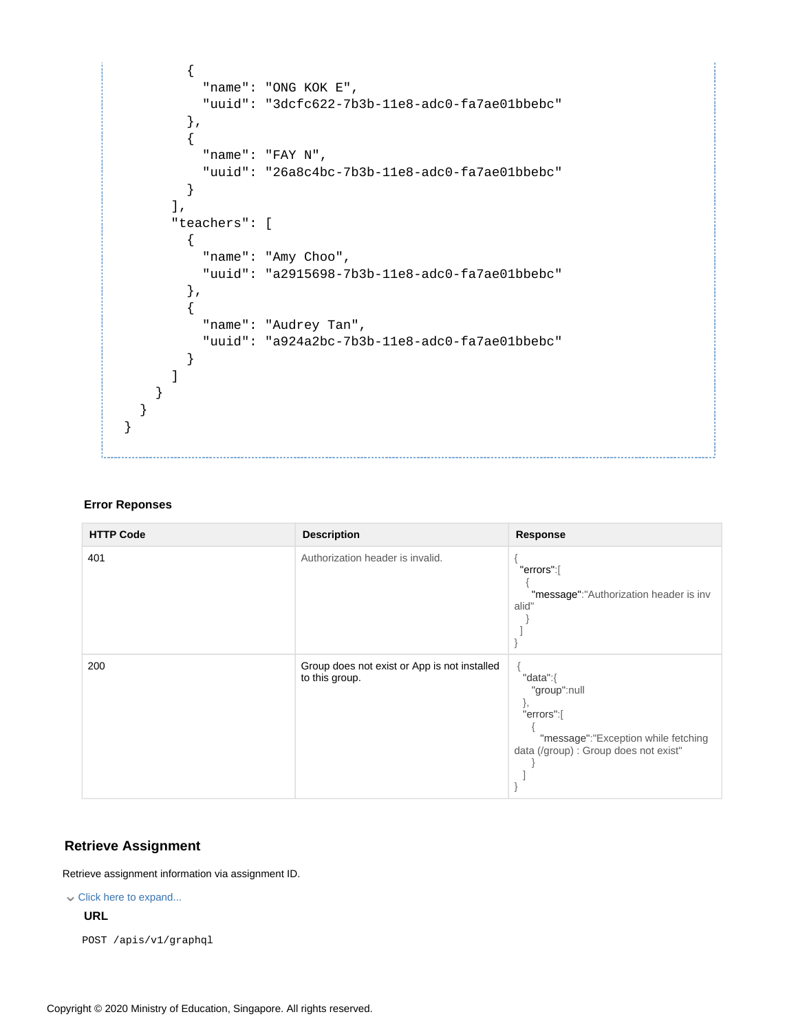```
 {
           "name": "ONG KOK E",
            "uuid": "3dcfc622-7b3b-11e8-adc0-fa7ae01bbebc"
         },
         {
            "name": "FAY N",
            "uuid": "26a8c4bc-7b3b-11e8-adc0-fa7ae01bbebc"
         }
       ],
       "teachers": [
         {
            "name": "Amy Choo",
            "uuid": "a2915698-7b3b-11e8-adc0-fa7ae01bbebc"
         },
         {
            "name": "Audrey Tan",
           "uuid": "a924a2bc-7b3b-11e8-adc0-fa7ae01bbebc"
         }
       ]
     }
   }
}
```
#### **Error Reponses**

| <b>HTTP Code</b> | <b>Description</b>                                             | <b>Response</b>                                                                                                              |
|------------------|----------------------------------------------------------------|------------------------------------------------------------------------------------------------------------------------------|
| 401              | Authorization header is invalid.                               | "errors":[<br>"message":"Authorization header is inv<br>alid"                                                                |
| 200              | Group does not exist or App is not installed<br>to this group. | "data":{<br>"group":null<br>ì,<br>"errors":[<br>"message":"Exception while fetching<br>data (/group) : Group does not exist" |

#### <span id="page-24-0"></span>**Retrieve Assignment**

Retrieve assignment information via assignment ID.

Click here to expand...

#### **URL**

POST /apis/v1/graphql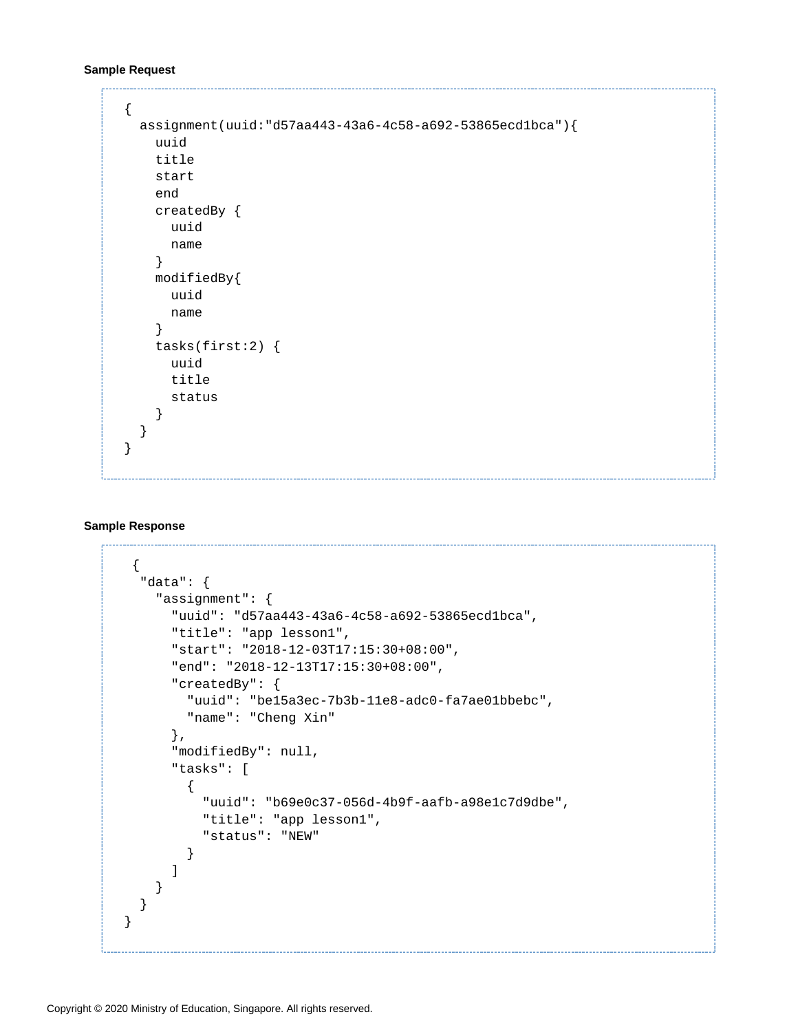#### **Sample Request**

```
{
   assignment(uuid:"d57aa443-43a6-4c58-a692-53865ecd1bca"){
     uuid
     title
     start
     end
     createdBy {
       uuid
       name
     }
     modifiedBy{
       uuid
       name
     }
     tasks(first:2) {
       uuid
       title
       status
     }
   }
}
```
#### **Sample Response**

```
 {
   "data": {
     "assignment": {
       "uuid": "d57aa443-43a6-4c58-a692-53865ecd1bca",
       "title": "app lesson1",
       "start": "2018-12-03T17:15:30+08:00",
       "end": "2018-12-13T17:15:30+08:00",
       "createdBy": {
         "uuid": "be15a3ec-7b3b-11e8-adc0-fa7ae01bbebc",
         "name": "Cheng Xin"
       },
       "modifiedBy": null,
       "tasks": [
         {
           "uuid": "b69e0c37-056d-4b9f-aafb-a98e1c7d9dbe",
           "title": "app lesson1",
           "status": "NEW"
         }
       ]
     }
   }
}
```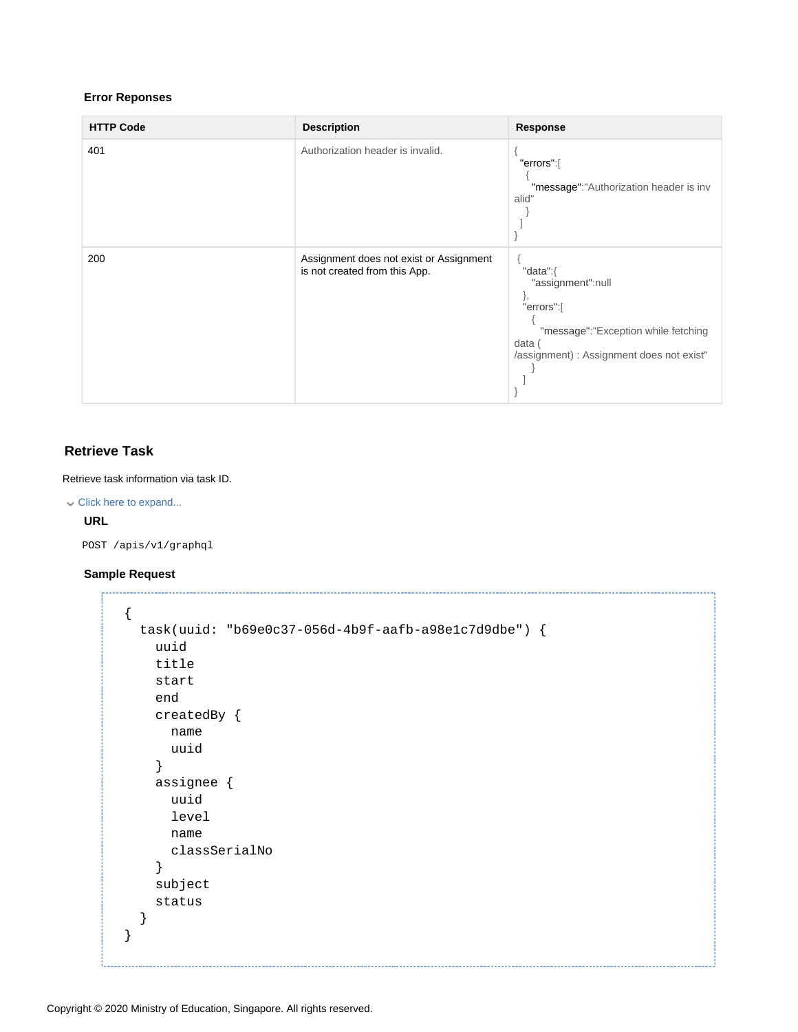#### **Error Reponses**

| <b>HTTP Code</b> | <b>Description</b>                                                       | <b>Response</b>                                                                                                                                 |
|------------------|--------------------------------------------------------------------------|-------------------------------------------------------------------------------------------------------------------------------------------------|
| 401              | Authorization header is invalid.                                         | "errors":[<br>"message":"Authorization header is inv<br>alid"                                                                                   |
| 200              | Assignment does not exist or Assignment<br>is not created from this App. | "data":{<br>"assignment":null<br>j,<br>"errors":[<br>"message":"Exception while fetching<br>data (<br>/assignment) : Assignment does not exist" |

#### <span id="page-26-0"></span>**Retrieve Task**

Retrieve task information via task ID.

```
Click here to expand...
```
#### **URL**

POST /apis/v1/graphql

#### **Sample Request**

```
{
   task(uuid: "b69e0c37-056d-4b9f-aafb-a98e1c7d9dbe") {
     uuid
     title
     start
     end
     createdBy {
       name
       uuid
     }
     assignee {
       uuid
       level
       name
       classSerialNo
     }
     subject
     status
   }
}
```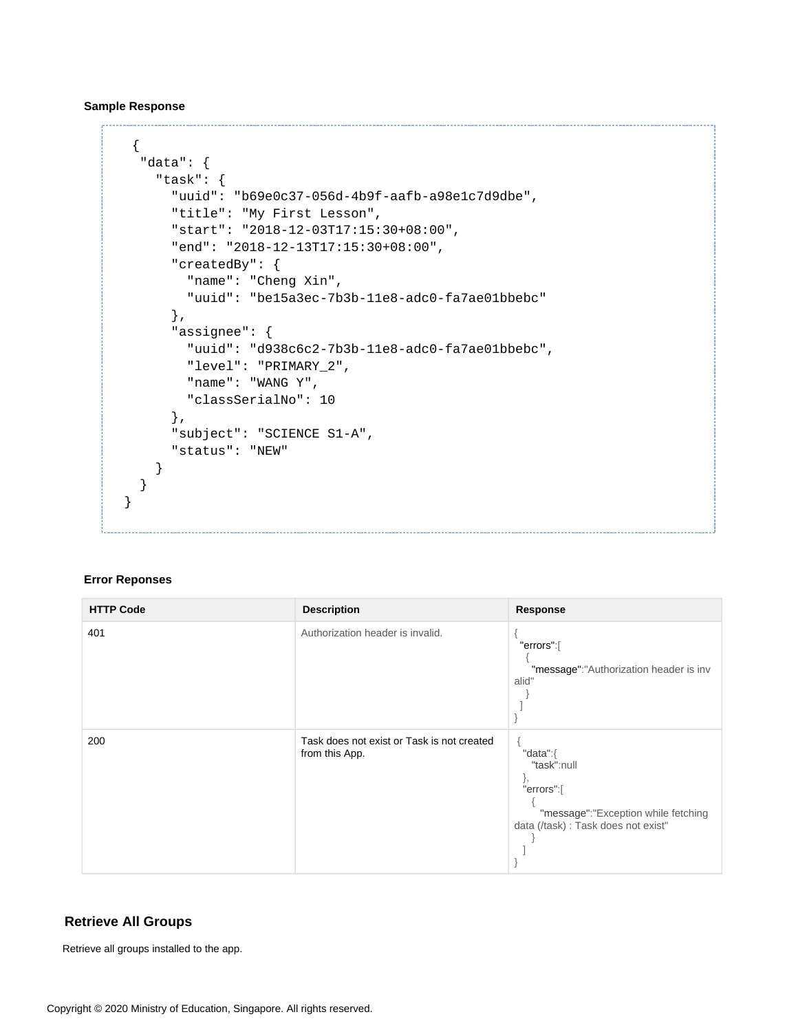**Sample Response**

```
 {
   "data": {
     "task": {
       "uuid": "b69e0c37-056d-4b9f-aafb-a98e1c7d9dbe",
       "title": "My First Lesson",
       "start": "2018-12-03T17:15:30+08:00",
       "end": "2018-12-13T17:15:30+08:00",
       "createdBy": {
         "name": "Cheng Xin",
         "uuid": "be15a3ec-7b3b-11e8-adc0-fa7ae01bbebc"
       },
       "assignee": {
         "uuid": "d938c6c2-7b3b-11e8-adc0-fa7ae01bbebc",
         "level": "PRIMARY_2",
         "name": "WANG Y",
         "classSerialNo": 10
       },
       "subject": "SCIENCE S1-A",
       "status": "NEW"
     }
   }
}
```
#### **Error Reponses**

| <b>HTTP Code</b> | <b>Description</b>                                           | Response                                                                                                                |
|------------------|--------------------------------------------------------------|-------------------------------------------------------------------------------------------------------------------------|
| 401              | Authorization header is invalid.                             | "errors":[<br>"message":"Authorization header is inv<br>alid"                                                           |
| 200              | Task does not exist or Task is not created<br>from this App. | "data": $\{$<br>"task":null<br>"errors":[<br>"message":"Exception while fetching<br>data (/task) : Task does not exist" |

#### <span id="page-27-0"></span>**Retrieve All Groups**

Retrieve all groups installed to the app.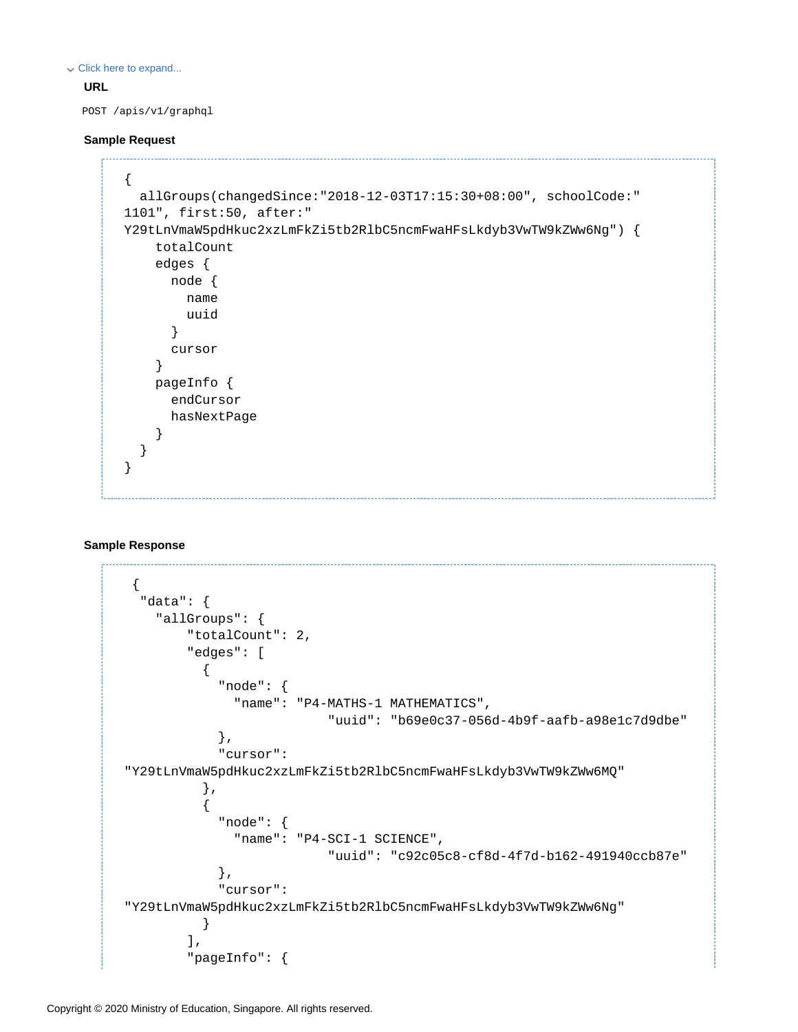Click here to expand...

#### **URL**

POST /apis/v1/graphql

#### **Sample Request**

```
{
   allGroups(changedSince:"2018-12-03T17:15:30+08:00", schoolCode:"
1101", first:50, after:"
Y29tLnVmaW5pdHkuc2xzLmFkZi5tb2RlbC5ncmFwaHFsLkdyb3VwTW9kZWw6Ng") {
     totalCount
     edges {
       node {
         name
         uuid
       }
       cursor
     }
     pageInfo {
       endCursor
       hasNextPage
     }
   }
}
```
#### **Sample Response**

```
 {
   "data": {
     "allGroups": {
         "totalCount": 2,
         "edges": [
\{ "node": {
               "name": "P4-MATHS-1 MATHEMATICS",
                           "uuid": "b69e0c37-056d-4b9f-aafb-a98e1c7d9dbe"
             },
             "cursor": 
"Y29tLnVmaW5pdHkuc2xzLmFkZi5tb2RlbC5ncmFwaHFsLkdyb3VwTW9kZWw6MQ"
           },
\{ "node": {
               "name": "P4-SCI-1 SCIENCE",
                           "uuid": "c92c05c8-cf8d-4f7d-b162-491940ccb87e"
             },
             "cursor": 
"Y29tLnVmaW5pdHkuc2xzLmFkZi5tb2RlbC5ncmFwaHFsLkdyb3VwTW9kZWw6Ng"
           }
         ],
         "pageInfo": {
```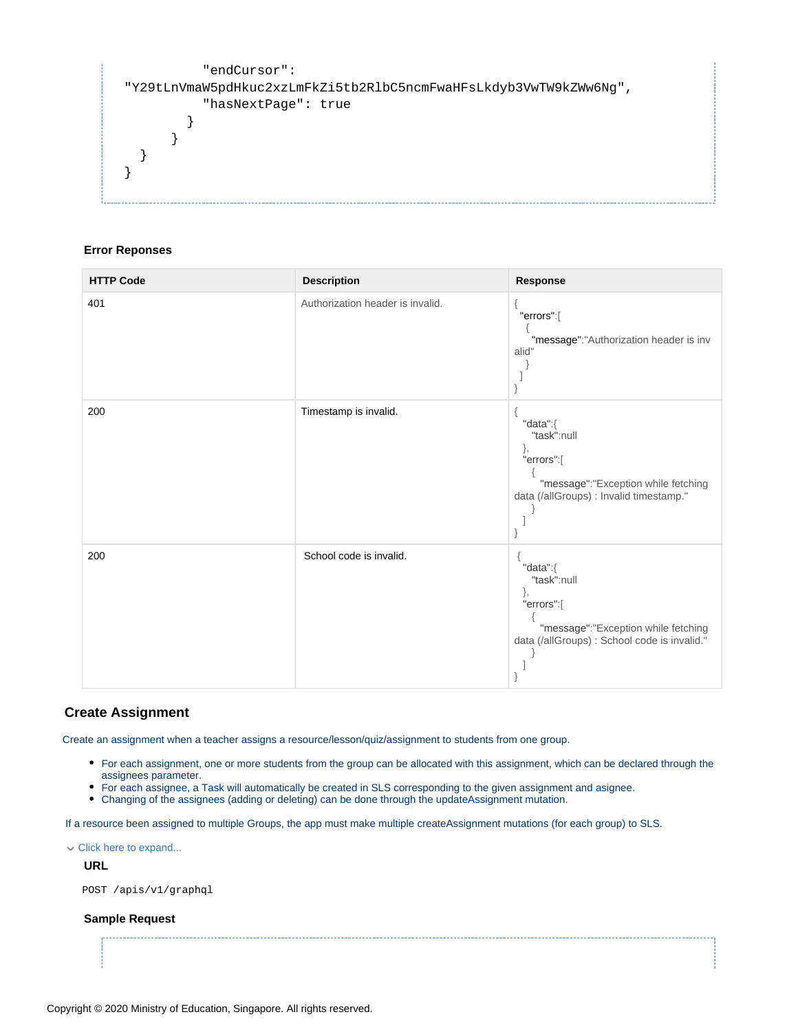```
 "endCursor": 
"Y29tLnVmaW5pdHkuc2xzLmFkZi5tb2RlbC5ncmFwaHFsLkdyb3VwTW9kZWw6Ng",
           "hasNextPage": true
 }
       }
  }
}
```
#### **Error Reponses**

| <b>HTTP Code</b> | <b>Description</b>               | Response                                                                                                                           |
|------------------|----------------------------------|------------------------------------------------------------------------------------------------------------------------------------|
| 401              | Authorization header is invalid. | "errors":[<br>"message":"Authorization header is inv<br>alid"                                                                      |
| 200              | Timestamp is invalid.            | "data":{<br>"task":null<br>},<br>"errors":[<br>"message":"Exception while fetching<br>data (/allGroups) : Invalid timestamp."      |
| 200              | School code is invalid.          | "data":{<br>"task":null<br>},<br>"errors":[<br>"message":"Exception while fetching<br>data (/allGroups) : School code is invalid." |

#### <span id="page-29-0"></span>**Create Assignment**

Create an assignment when a teacher assigns a resource/lesson/quiz/assignment to students from one group.

- For each assignment, one or more students from the group can be allocated with this assignment, which can be declared through the assignees parameter.
- For each assignee, a Task will automatically be created in SLS corresponding to the given assignment and asignee.
- Changing of the assignees (adding or deleting) can be done through the updateAssignment mutation.

If a resource been assigned to multiple Groups, the app must make multiple createAssignment mutations (for each group) to SLS.

Click here to expand...

**URL**

POST /apis/v1/graphql

#### **Sample Request**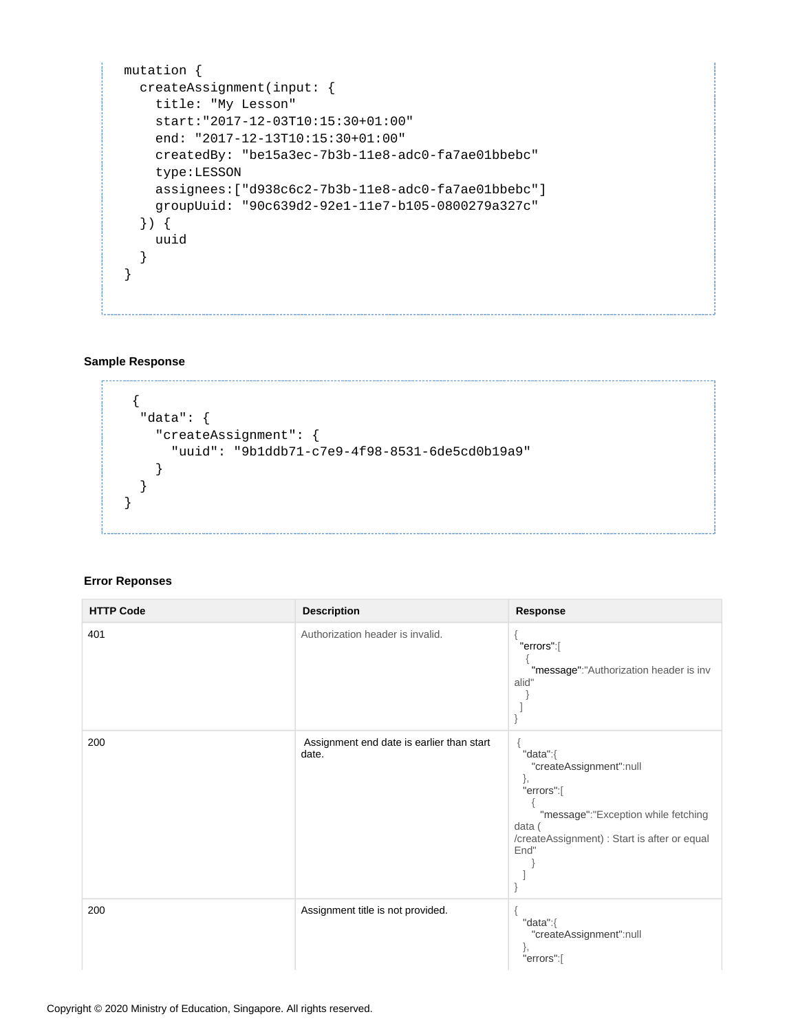```
mutation {
   createAssignment(input: {
     title: "My Lesson"
     start:"2017-12-03T10:15:30+01:00"
     end: "2017-12-13T10:15:30+01:00"
     createdBy: "be15a3ec-7b3b-11e8-adc0-fa7ae01bbebc"
     type:LESSON
     assignees:["d938c6c2-7b3b-11e8-adc0-fa7ae01bbebc"]
     groupUuid: "90c639d2-92e1-11e7-b105-0800279a327c"
   }) {
     uuid
   }
}
```
#### **Sample Response**

```
 {
   "data": {
     "createAssignment": {
       "uuid": "9b1ddb71-c7e9-4f98-8531-6de5cd0b19a9"
     }
   }
}
```
#### **Error Reponses**

| <b>HTTP Code</b> | <b>Description</b>                                 | Response                                                                                                                                                         |
|------------------|----------------------------------------------------|------------------------------------------------------------------------------------------------------------------------------------------------------------------|
| 401              | Authorization header is invalid.                   | "errors":[<br>"message":"Authorization header is inv<br>alid"                                                                                                    |
| 200              | Assignment end date is earlier than start<br>date. | "data":{<br>"createAssignment":null<br>},<br>"errors":[<br>"message":"Exception while fetching<br>data (<br>/createAssignment) : Start is after or equal<br>End" |
| 200              | Assignment title is not provided.                  | "data":{<br>"createAssignment":null<br>"errors":[                                                                                                                |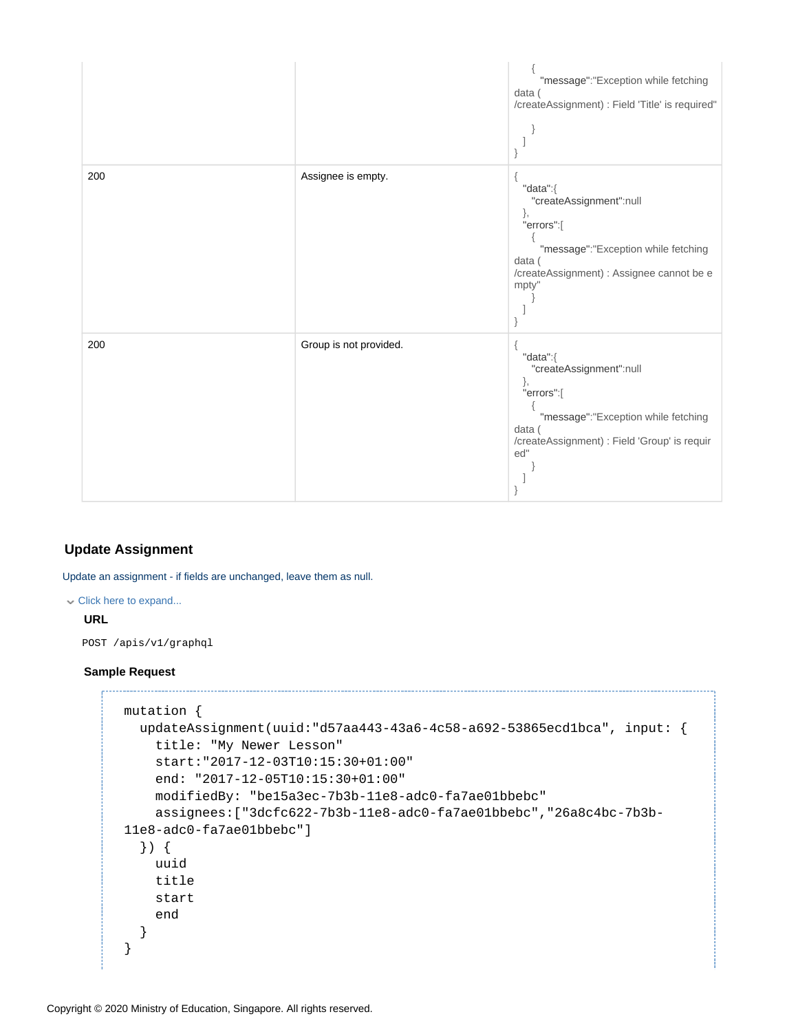|     |                        | "message":"Exception while fetching<br>data (<br>/createAssignment) : Field 'Title' is required"                                                                |
|-----|------------------------|-----------------------------------------------------------------------------------------------------------------------------------------------------------------|
| 200 | Assignee is empty.     | "data":{<br>"createAssignment":null<br>},<br>"errors":[<br>"message":"Exception while fetching<br>data (<br>/createAssignment) : Assignee cannot be e<br>mpty"  |
| 200 | Group is not provided. | "data":{<br>"createAssignment":null<br>},<br>"errors":[<br>"message":"Exception while fetching<br>data (<br>/createAssignment) : Field 'Group' is requir<br>ed" |

#### <span id="page-31-0"></span>**Update Assignment**

Update an assignment - if fields are unchanged, leave them as null.

#### Click here to expand...

#### **URL**

POST /apis/v1/graphql

#### **Sample Request**

```
mutation {
  updateAssignment(uuid:"d57aa443-43a6-4c58-a692-53865ecd1bca", input: {
    title: "My Newer Lesson"
    start:"2017-12-03T10:15:30+01:00"
    end: "2017-12-05T10:15:30+01:00"
    modifiedBy: "be15a3ec-7b3b-11e8-adc0-fa7ae01bbebc"
    assignees:["3dcfc622-7b3b-11e8-adc0-fa7ae01bbebc","26a8c4bc-7b3b-
11e8-adc0-fa7ae01bbebc"]
  }) {
    uuid
    title
    start
    end
  }
}
```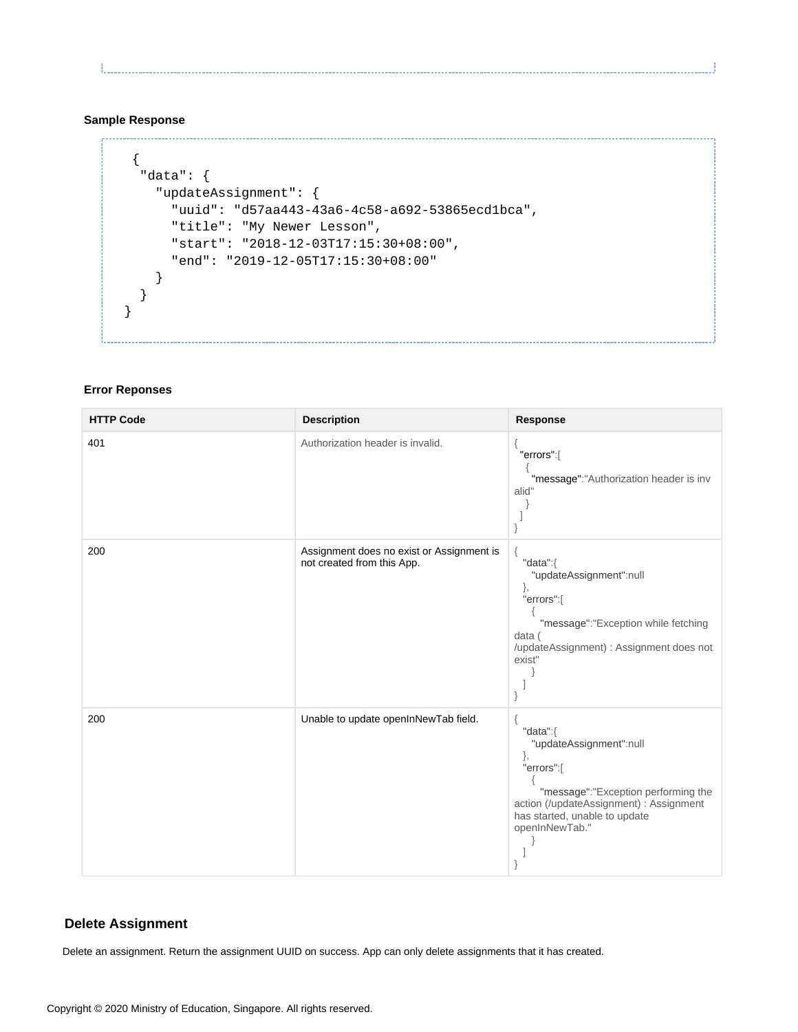Ł.

#### **Sample Response**

```
 {
   "data": {
    "updateAssignment": {
       "uuid": "d57aa443-43a6-4c58-a692-53865ecd1bca",
       "title": "My Newer Lesson",
       "start": "2018-12-03T17:15:30+08:00",
       "end": "2019-12-05T17:15:30+08:00"
    }
   }
}
```
#### **Error Reponses**

| <b>HTTP Code</b> | <b>Description</b>                                                      | <b>Response</b>                                                                                                                                                                              |
|------------------|-------------------------------------------------------------------------|----------------------------------------------------------------------------------------------------------------------------------------------------------------------------------------------|
| 401              | Authorization header is invalid.                                        | "errors":[<br>"message":"Authorization header is inv<br>alid"                                                                                                                                |
| 200              | Assignment does no exist or Assignment is<br>not created from this App. | "data":{<br>"updateAssignment":null<br>},<br>"errors":[<br>"message":"Exception while fetching<br>data (<br>/updateAssignment) : Assignment does not<br>exist"                               |
| 200              | Unable to update openInNewTab field.                                    | "data":{<br>"updateAssignment":null<br>},<br>"errors":[<br>"message":"Exception performing the<br>action (/updateAssignment) : Assignment<br>has started, unable to update<br>openInNewTab." |

#### <span id="page-32-0"></span>**Delete Assignment**

Delete an assignment. Return the assignment UUID on success. App can only delete assignments that it has created.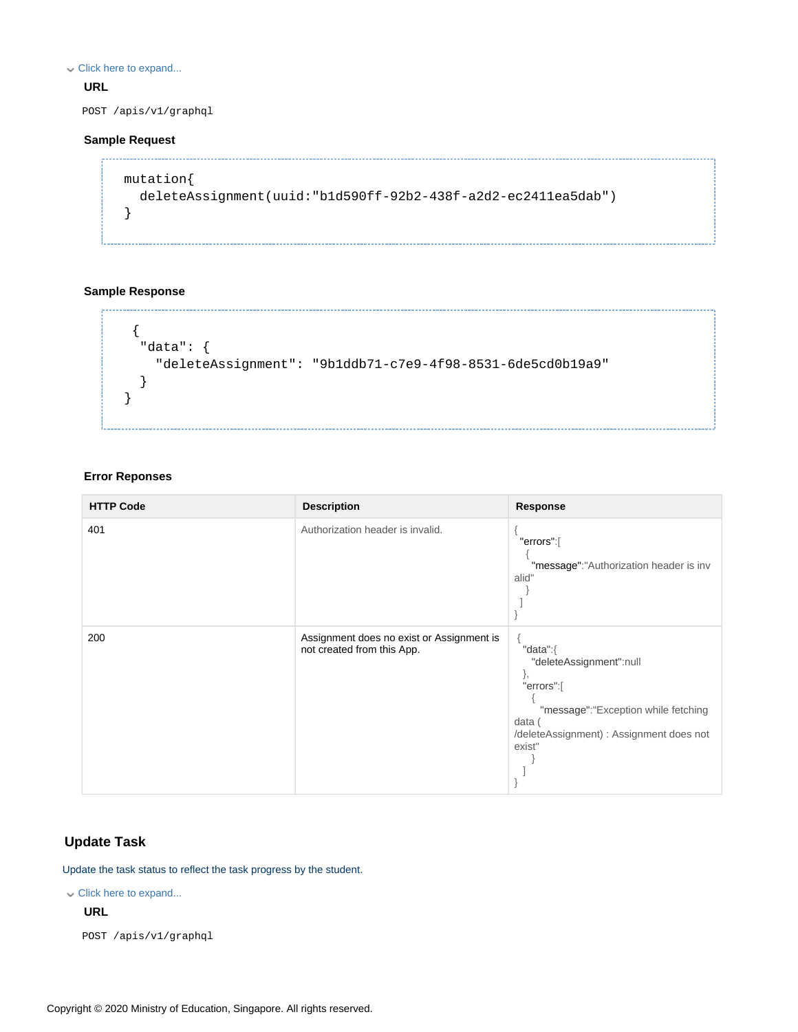Click here to expand...

#### **URL**

POST /apis/v1/graphql

#### **Sample Request**

```
mutation{
  deleteAssignment(uuid:"b1d590ff-92b2-438f-a2d2-ec2411ea5dab")
}
```
#### **Sample Response**

```
 {
   "data": {
     "deleteAssignment": "9b1ddb71-c7e9-4f98-8531-6de5cd0b19a9"
   }
}
```
#### **Error Reponses**

| <b>HTTP Code</b> | <b>Description</b>                                                      | Response                                                                                                                                                       |
|------------------|-------------------------------------------------------------------------|----------------------------------------------------------------------------------------------------------------------------------------------------------------|
| 401              | Authorization header is invalid.                                        | "errors":[<br>"message":"Authorization header is inv<br>alid"                                                                                                  |
| 200              | Assignment does no exist or Assignment is<br>not created from this App. | "data":{<br>"deleteAssignment":null<br>ſ,<br>"errors":[<br>"message":"Exception while fetching<br>data (<br>/deleteAssignment) : Assignment does not<br>exist" |

#### <span id="page-33-0"></span>**Update Task**

Update the task status to reflect the task progress by the student.

Click here to expand...

#### **URL**

POST /apis/v1/graphql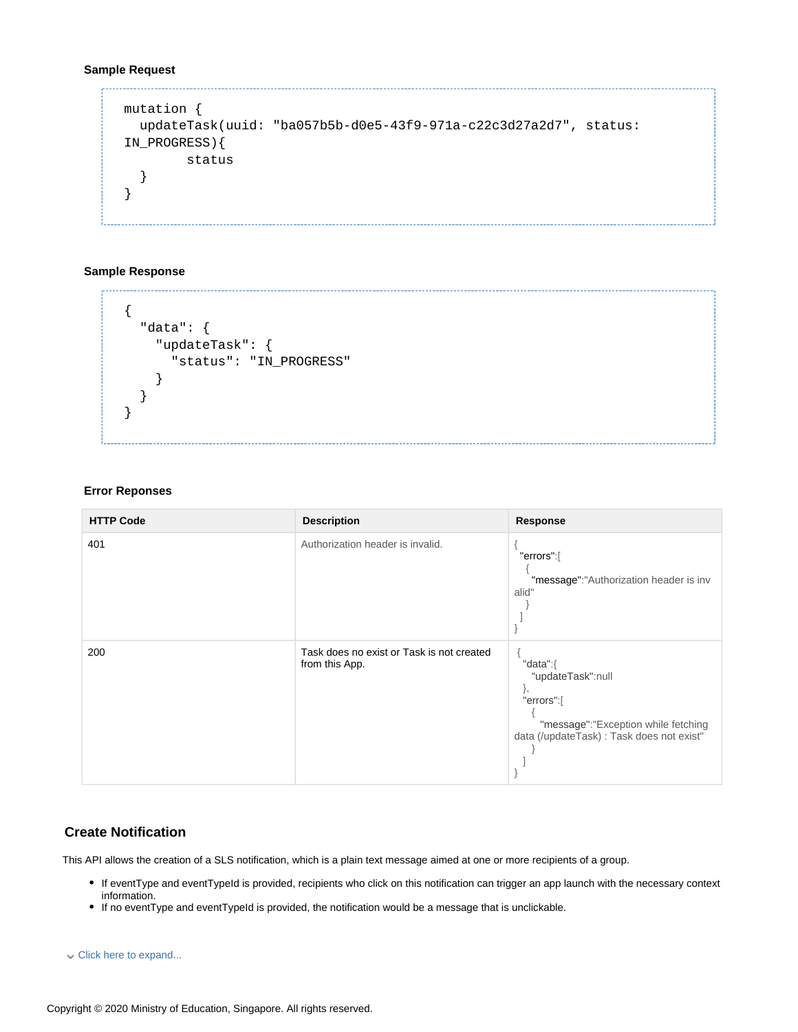#### **Sample Request**

```
mutation {
   updateTask(uuid: "ba057b5b-d0e5-43f9-971a-c22c3d27a2d7", status: 
IN_PROGRESS){
         status
   }
}
```
#### **Sample Response**

```
{
   "data": {
     "updateTask": {
        "status": "IN_PROGRESS"
     }
   }
}
```
#### **Error Reponses**

| <b>HTTP Code</b> | <b>Description</b>                                          | Response                                                                                                                              |
|------------------|-------------------------------------------------------------|---------------------------------------------------------------------------------------------------------------------------------------|
| 401              | Authorization header is invalid.                            | "errors":[<br>"message":"Authorization header is inv<br>alid"                                                                         |
| 200              | Task does no exist or Task is not created<br>from this App. | "data":{<br>"updateTask":null<br>j,<br>"errors":[<br>"message":"Exception while fetching<br>data (/updateTask) : Task does not exist" |

#### <span id="page-34-0"></span>**Create Notification**

This API allows the creation of a SLS notification, which is a plain text message aimed at one or more recipients of a group.

- If eventType and eventTypeId is provided, recipients who click on this notification can trigger an app launch with the necessary context information.
- If no eventType and eventTypeId is provided, the notification would be a message that is unclickable.

```
Click here to expand...
```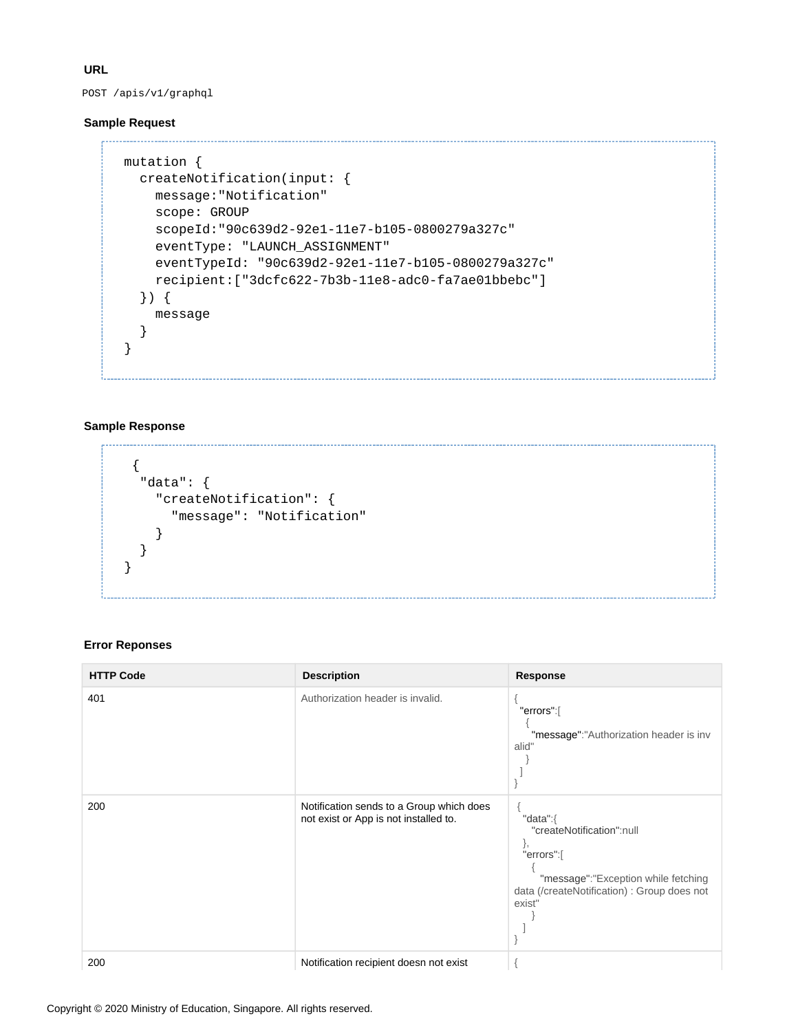**URL**

POST /apis/v1/graphql

#### **Sample Request**

```
mutation {
  createNotification(input: {
    message:"Notification"
     scope: GROUP
     scopeId:"90c639d2-92e1-11e7-b105-0800279a327c"
     eventType: "LAUNCH_ASSIGNMENT"
     eventTypeId: "90c639d2-92e1-11e7-b105-0800279a327c"
     recipient:["3dcfc622-7b3b-11e8-adc0-fa7ae01bbebc"]
   }) {
     message
   }
}
```
#### **Sample Response**

```
 {
   "data": {
     "createNotification": {
        "message": "Notification"
     }
   }
}
```
#### **Error Reponses**

| <b>HTTP Code</b> | <b>Description</b>                                                                | <b>Response</b>                                                                                                                                           |
|------------------|-----------------------------------------------------------------------------------|-----------------------------------------------------------------------------------------------------------------------------------------------------------|
| 401              | Authorization header is invalid.                                                  | "errors":[<br>"message":"Authorization header is inv<br>alid"                                                                                             |
| 200              | Notification sends to a Group which does<br>not exist or App is not installed to. | "data":{<br>"createNotification":null<br>ì,<br>"errors":[<br>"message":"Exception while fetching<br>data (/createNotification) : Group does not<br>exist" |
| 200              | Notification recipient doesn not exist                                            |                                                                                                                                                           |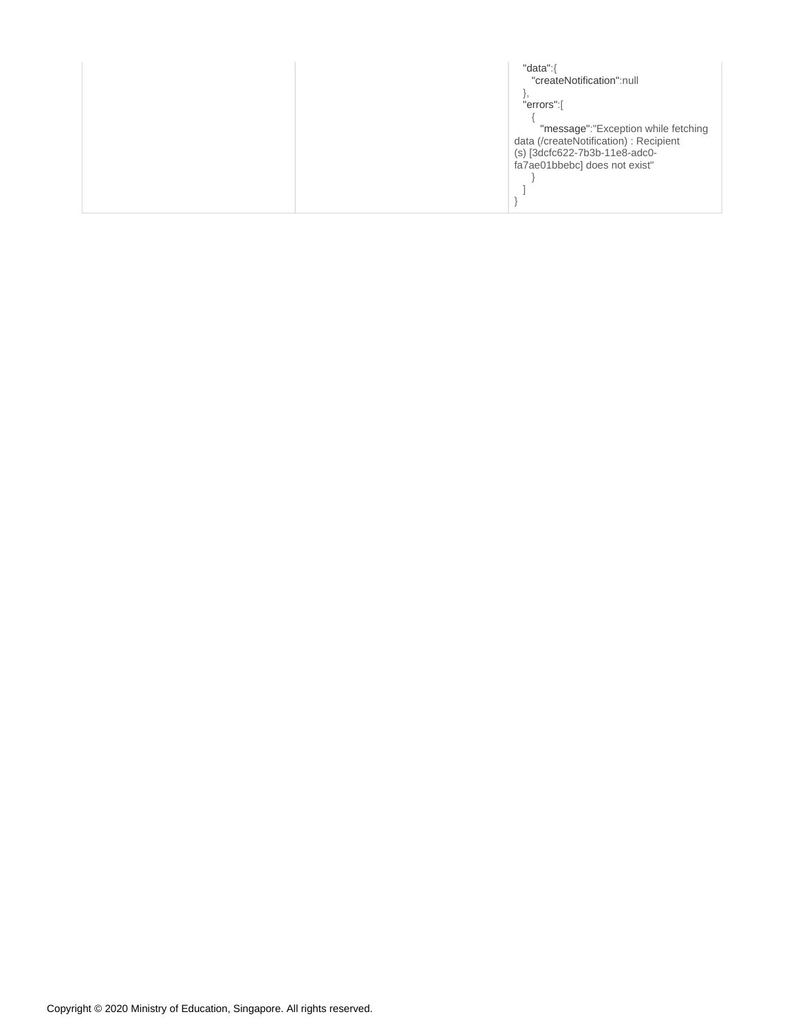| "data":{                               |
|----------------------------------------|
| "createNotification":null              |
|                                        |
| "errors":[                             |
|                                        |
| "message":"Exception while fetching    |
| data (/createNotification) : Recipient |
| (s) [3dcfc622-7b3b-11e8-adc0-          |
| fa7ae01bbebc] does not exist"          |
|                                        |
|                                        |
|                                        |
|                                        |